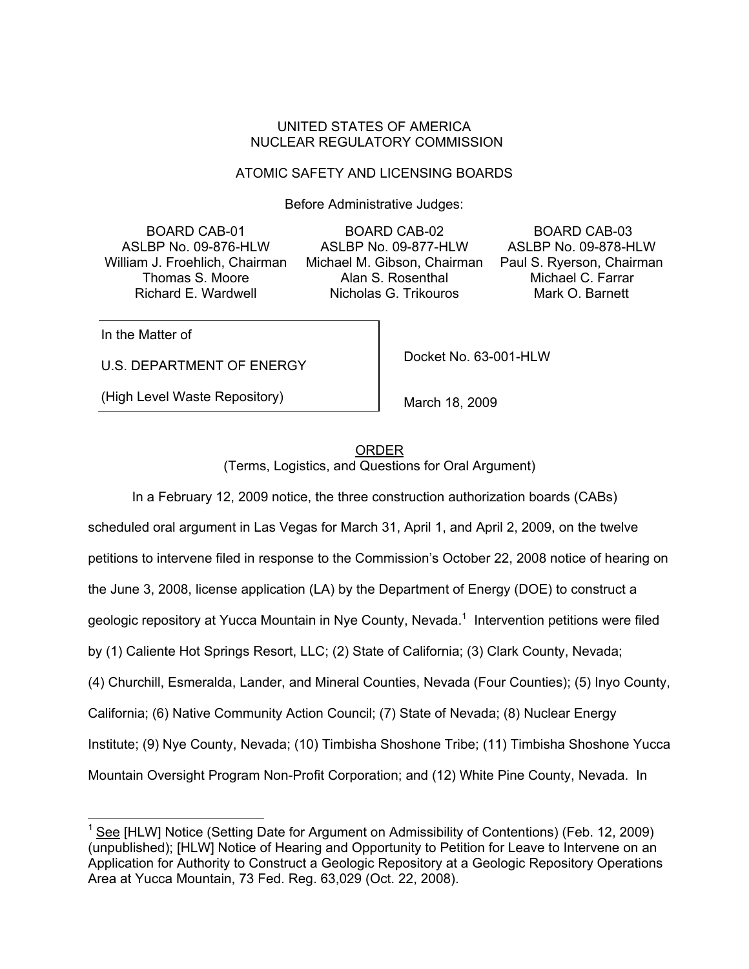#### UNITED STATES OF AMERICA NUCLEAR REGULATORY COMMISSION

## ATOMIC SAFETY AND LICENSING BOARDS

Before Administrative Judges:

BOARD CAB-01 ASLBP No. 09-876-HLW William J. Froehlich, Chairman Thomas S. Moore Richard E. Wardwell

BOARD CAB-02 ASLBP No. 09-877-HLW Michael M. Gibson, Chairman Alan S. Rosenthal Nicholas G. Trikouros

 BOARD CAB-03 ASLBP No. 09-878-HLW Paul S. Ryerson, Chairman Michael C. Farrar Mark O. Barnett

In the Matter of

U.S. DEPARTMENT OF ENERGY

(High Level Waste Repository)

Docket No. 63-001-HLW

March 18, 2009

ORDER (Terms, Logistics, and Questions for Oral Argument)

 In a February 12, 2009 notice, the three construction authorization boards (CABs) scheduled oral argument in Las Vegas for March 31, April 1, and April 2, 2009, on the twelve petitions to intervene filed in response to the Commission's October 22, 2008 notice of hearing on the June 3, 2008, license application (LA) by the Department of Energy (DOE) to construct a geologic repository at Yucca Mountain in Nye County, Nevada.<sup>1</sup> Intervention petitions were filed by (1) Caliente Hot Springs Resort, LLC; (2) State of California; (3) Clark County, Nevada; (4) Churchill, Esmeralda, Lander, and Mineral Counties, Nevada (Four Counties); (5) Inyo County, California; (6) Native Community Action Council; (7) State of Nevada; (8) Nuclear Energy Institute; (9) Nye County, Nevada; (10) Timbisha Shoshone Tribe; (11) Timbisha Shoshone Yucca Mountain Oversight Program Non-Profit Corporation; and (12) White Pine County, Nevada. In

<sup>1</sup> See [HLW] Notice (Setting Date for Argument on Admissibility of Contentions) (Feb. 12, 2009) (unpublished); [HLW] Notice of Hearing and Opportunity to Petition for Leave to Intervene on an Application for Authority to Construct a Geologic Repository at a Geologic Repository Operations Area at Yucca Mountain, 73 Fed. Reg. 63,029 (Oct. 22, 2008).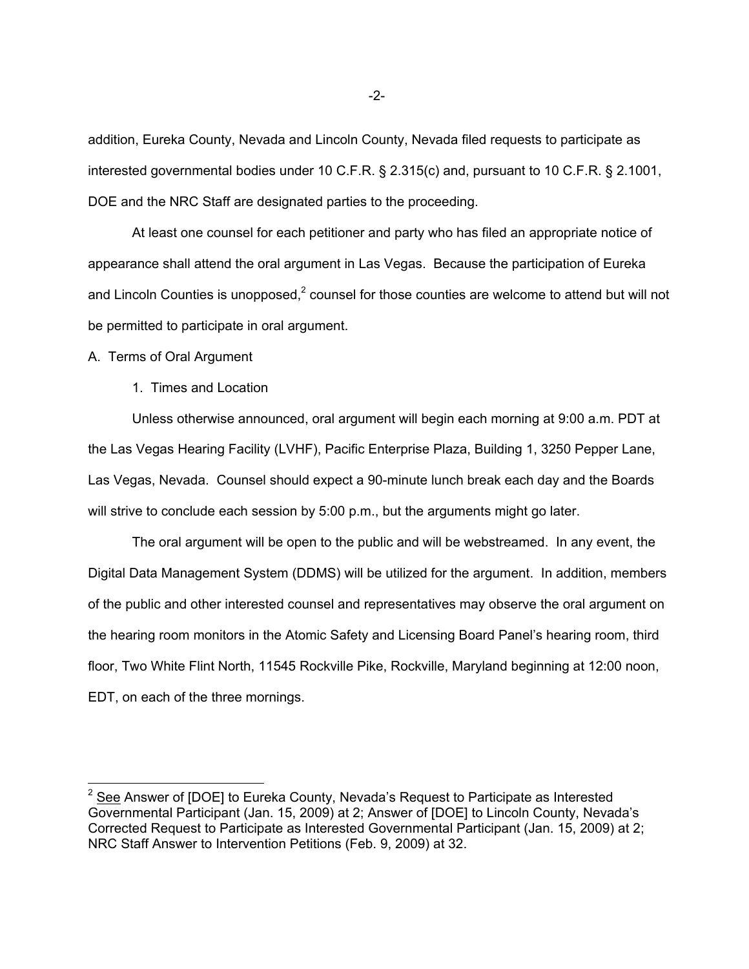addition, Eureka County, Nevada and Lincoln County, Nevada filed requests to participate as interested governmental bodies under 10 C.F.R. § 2.315(c) and, pursuant to 10 C.F.R. § 2.1001, DOE and the NRC Staff are designated parties to the proceeding.

 At least one counsel for each petitioner and party who has filed an appropriate notice of appearance shall attend the oral argument in Las Vegas. Because the participation of Eureka and Lincoln Counties is unopposed,<sup>2</sup> counsel for those counties are welcome to attend but will not be permitted to participate in oral argument.

A. Terms of Oral Argument

1. Times and Location

 Unless otherwise announced, oral argument will begin each morning at 9:00 a.m. PDT at the Las Vegas Hearing Facility (LVHF), Pacific Enterprise Plaza, Building 1, 3250 Pepper Lane, Las Vegas, Nevada. Counsel should expect a 90-minute lunch break each day and the Boards will strive to conclude each session by 5:00 p.m., but the arguments might go later.

 The oral argument will be open to the public and will be webstreamed. In any event, the Digital Data Management System (DDMS) will be utilized for the argument. In addition, members of the public and other interested counsel and representatives may observe the oral argument on the hearing room monitors in the Atomic Safety and Licensing Board Panel's hearing room, third floor, Two White Flint North, 11545 Rockville Pike, Rockville, Maryland beginning at 12:00 noon, EDT, on each of the three mornings.

 $2$  See Answer of [DOE] to Eureka County, Nevada's Request to Participate as Interested Governmental Participant (Jan. 15, 2009) at 2; Answer of [DOE] to Lincoln County, Nevada's Corrected Request to Participate as Interested Governmental Participant (Jan. 15, 2009) at 2; NRC Staff Answer to Intervention Petitions (Feb. 9, 2009) at 32.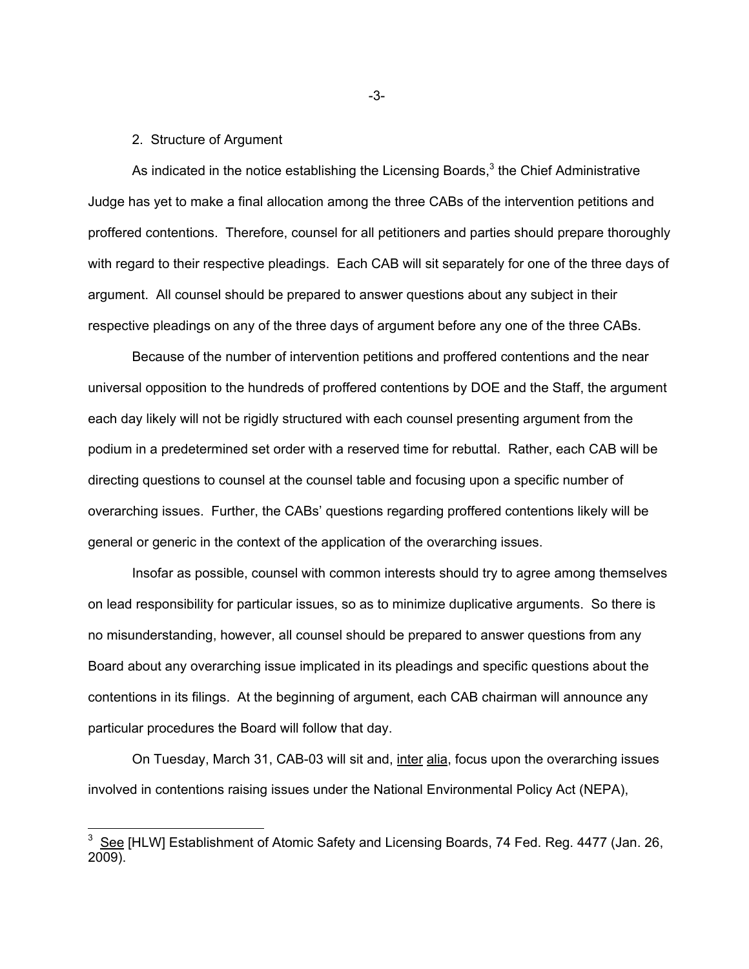#### 2. Structure of Argument

As indicated in the notice establishing the Licensing Boards, $3$  the Chief Administrative Judge has yet to make a final allocation among the three CABs of the intervention petitions and proffered contentions. Therefore, counsel for all petitioners and parties should prepare thoroughly with regard to their respective pleadings. Each CAB will sit separately for one of the three days of argument. All counsel should be prepared to answer questions about any subject in their respective pleadings on any of the three days of argument before any one of the three CABs.

 Because of the number of intervention petitions and proffered contentions and the near universal opposition to the hundreds of proffered contentions by DOE and the Staff, the argument each day likely will not be rigidly structured with each counsel presenting argument from the podium in a predetermined set order with a reserved time for rebuttal. Rather, each CAB will be directing questions to counsel at the counsel table and focusing upon a specific number of overarching issues. Further, the CABs' questions regarding proffered contentions likely will be general or generic in the context of the application of the overarching issues.

 Insofar as possible, counsel with common interests should try to agree among themselves on lead responsibility for particular issues, so as to minimize duplicative arguments. So there is no misunderstanding, however, all counsel should be prepared to answer questions from any Board about any overarching issue implicated in its pleadings and specific questions about the contentions in its filings. At the beginning of argument, each CAB chairman will announce any particular procedures the Board will follow that day.

On Tuesday, March 31, CAB-03 will sit and, *inter alia*, focus upon the overarching issues involved in contentions raising issues under the National Environmental Policy Act (NEPA),

-3-

 3 See [HLW] Establishment of Atomic Safety and Licensing Boards, 74 Fed. Reg. 4477 (Jan. 26, 2009).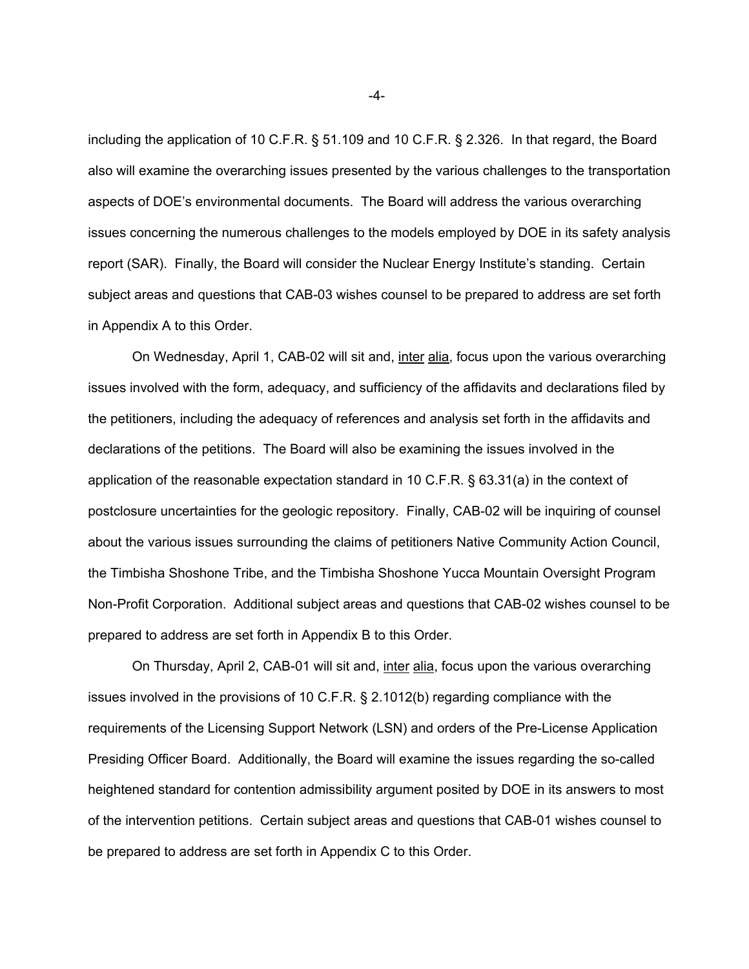including the application of 10 C.F.R. § 51.109 and 10 C.F.R. § 2.326. In that regard, the Board also will examine the overarching issues presented by the various challenges to the transportation aspects of DOE's environmental documents. The Board will address the various overarching issues concerning the numerous challenges to the models employed by DOE in its safety analysis report (SAR). Finally, the Board will consider the Nuclear Energy Institute's standing. Certain subject areas and questions that CAB-03 wishes counsel to be prepared to address are set forth in Appendix A to this Order.

On Wednesday, April 1, CAB-02 will sit and, inter alia, focus upon the various overarching issues involved with the form, adequacy, and sufficiency of the affidavits and declarations filed by the petitioners, including the adequacy of references and analysis set forth in the affidavits and declarations of the petitions. The Board will also be examining the issues involved in the application of the reasonable expectation standard in 10 C.F.R. § 63.31(a) in the context of postclosure uncertainties for the geologic repository. Finally, CAB-02 will be inquiring of counsel about the various issues surrounding the claims of petitioners Native Community Action Council, the Timbisha Shoshone Tribe, and the Timbisha Shoshone Yucca Mountain Oversight Program Non-Profit Corporation. Additional subject areas and questions that CAB-02 wishes counsel to be prepared to address are set forth in Appendix B to this Order.

On Thursday, April 2, CAB-01 will sit and, inter alia, focus upon the various overarching issues involved in the provisions of 10 C.F.R. § 2.1012(b) regarding compliance with the requirements of the Licensing Support Network (LSN) and orders of the Pre-License Application Presiding Officer Board. Additionally, the Board will examine the issues regarding the so-called heightened standard for contention admissibility argument posited by DOE in its answers to most of the intervention petitions. Certain subject areas and questions that CAB-01 wishes counsel to be prepared to address are set forth in Appendix C to this Order.

-4-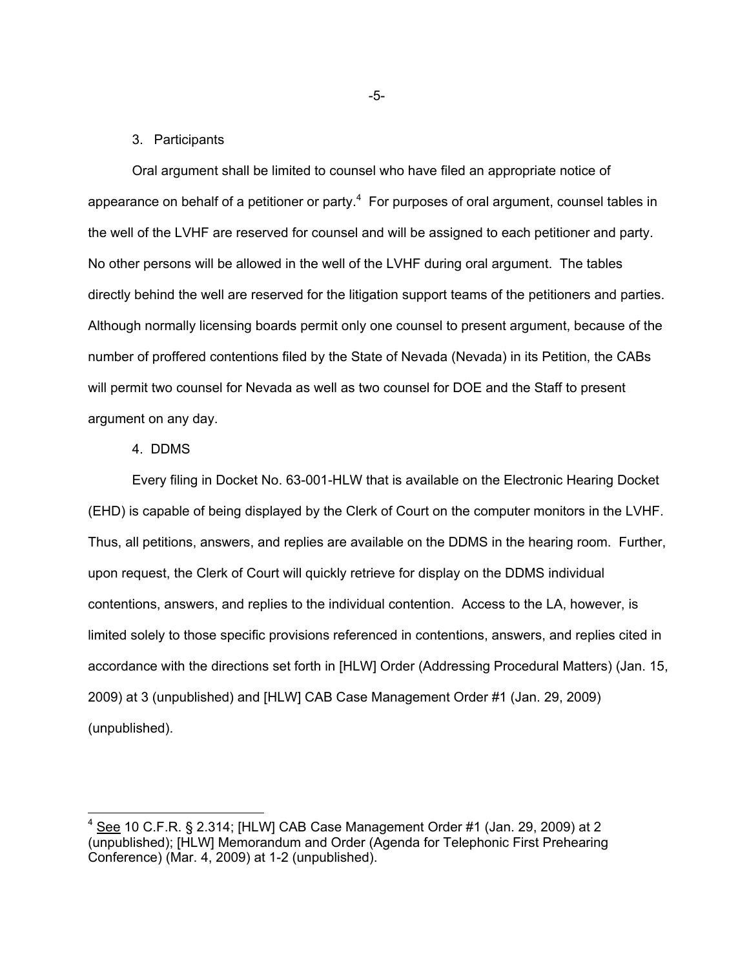#### 3. Participants

Oral argument shall be limited to counsel who have filed an appropriate notice of appearance on behalf of a petitioner or party. $4$  For purposes of oral argument, counsel tables in the well of the LVHF are reserved for counsel and will be assigned to each petitioner and party. No other persons will be allowed in the well of the LVHF during oral argument. The tables directly behind the well are reserved for the litigation support teams of the petitioners and parties. Although normally licensing boards permit only one counsel to present argument, because of the number of proffered contentions filed by the State of Nevada (Nevada) in its Petition, the CABs will permit two counsel for Nevada as well as two counsel for DOE and the Staff to present argument on any day.

#### 4. DDMS

-

Every filing in Docket No. 63-001-HLW that is available on the Electronic Hearing Docket (EHD) is capable of being displayed by the Clerk of Court on the computer monitors in the LVHF. Thus, all petitions, answers, and replies are available on the DDMS in the hearing room. Further, upon request, the Clerk of Court will quickly retrieve for display on the DDMS individual contentions, answers, and replies to the individual contention. Access to the LA, however, is limited solely to those specific provisions referenced in contentions, answers, and replies cited in accordance with the directions set forth in [HLW] Order (Addressing Procedural Matters) (Jan. 15, 2009) at 3 (unpublished) and [HLW] CAB Case Management Order #1 (Jan. 29, 2009) (unpublished).

-5-

 $4$  See 10 C.F.R. § 2.314; [HLW] CAB Case Management Order #1 (Jan. 29, 2009) at 2 (unpublished); [HLW] Memorandum and Order (Agenda for Telephonic First Prehearing Conference) (Mar. 4, 2009) at 1-2 (unpublished).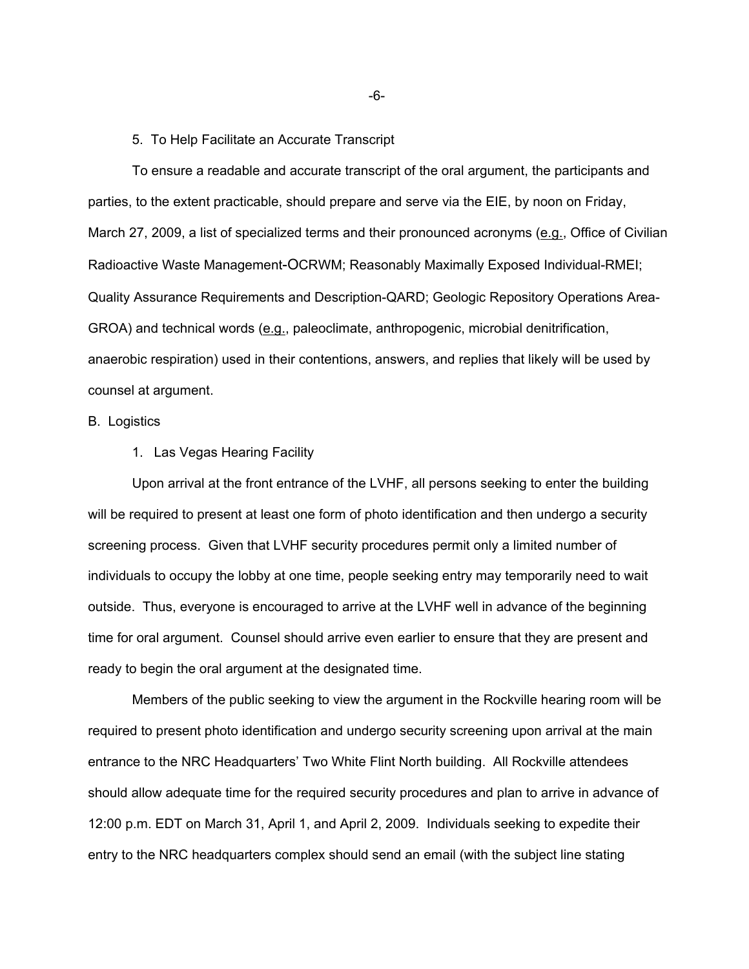#### 5. To Help Facilitate an Accurate Transcript

To ensure a readable and accurate transcript of the oral argument, the participants and parties, to the extent practicable, should prepare and serve via the EIE, by noon on Friday, March 27, 2009, a list of specialized terms and their pronounced acronyms (e.g., Office of Civilian Radioactive Waste Management-OCRWM; Reasonably Maximally Exposed Individual-RMEI; Quality Assurance Requirements and Description-QARD; Geologic Repository Operations Area-GROA) and technical words (e.g., paleoclimate, anthropogenic, microbial denitrification, anaerobic respiration) used in their contentions, answers, and replies that likely will be used by counsel at argument.

#### B. Logistics

#### 1. Las Vegas Hearing Facility

 Upon arrival at the front entrance of the LVHF, all persons seeking to enter the building will be required to present at least one form of photo identification and then undergo a security screening process. Given that LVHF security procedures permit only a limited number of individuals to occupy the lobby at one time, people seeking entry may temporarily need to wait outside. Thus, everyone is encouraged to arrive at the LVHF well in advance of the beginning time for oral argument. Counsel should arrive even earlier to ensure that they are present and ready to begin the oral argument at the designated time.

 Members of the public seeking to view the argument in the Rockville hearing room will be required to present photo identification and undergo security screening upon arrival at the main entrance to the NRC Headquarters' Two White Flint North building. All Rockville attendees should allow adequate time for the required security procedures and plan to arrive in advance of 12:00 p.m. EDT on March 31, April 1, and April 2, 2009. Individuals seeking to expedite their entry to the NRC headquarters complex should send an email (with the subject line stating

-6-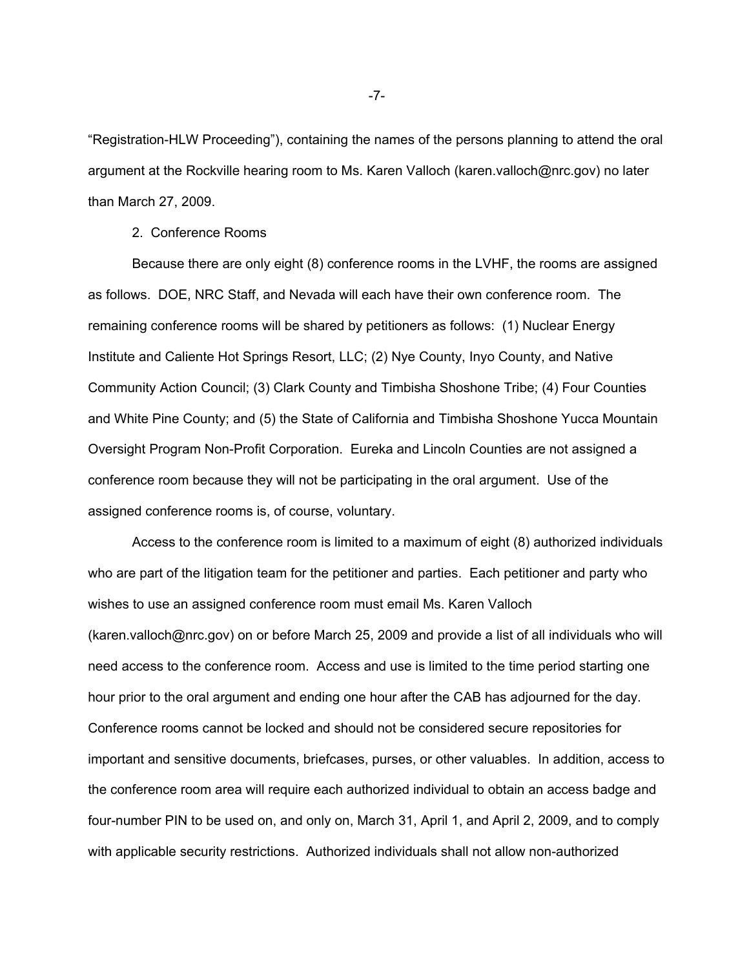"Registration-HLW Proceeding"), containing the names of the persons planning to attend the oral argument at the Rockville hearing room to Ms. Karen Valloch (karen.valloch@nrc.gov) no later than March 27, 2009.

2. Conference Rooms

 Because there are only eight (8) conference rooms in the LVHF, the rooms are assigned as follows. DOE, NRC Staff, and Nevada will each have their own conference room. The remaining conference rooms will be shared by petitioners as follows: (1) Nuclear Energy Institute and Caliente Hot Springs Resort, LLC; (2) Nye County, Inyo County, and Native Community Action Council; (3) Clark County and Timbisha Shoshone Tribe; (4) Four Counties and White Pine County; and (5) the State of California and Timbisha Shoshone Yucca Mountain Oversight Program Non-Profit Corporation. Eureka and Lincoln Counties are not assigned a conference room because they will not be participating in the oral argument. Use of the assigned conference rooms is, of course, voluntary.

 Access to the conference room is limited to a maximum of eight (8) authorized individuals who are part of the litigation team for the petitioner and parties. Each petitioner and party who wishes to use an assigned conference room must email Ms. Karen Valloch (karen.valloch@nrc.gov) on or before March 25, 2009 and provide a list of all individuals who will need access to the conference room. Access and use is limited to the time period starting one hour prior to the oral argument and ending one hour after the CAB has adjourned for the day. Conference rooms cannot be locked and should not be considered secure repositories for important and sensitive documents, briefcases, purses, or other valuables. In addition, access to the conference room area will require each authorized individual to obtain an access badge and four-number PIN to be used on, and only on, March 31, April 1, and April 2, 2009, and to comply with applicable security restrictions. Authorized individuals shall not allow non-authorized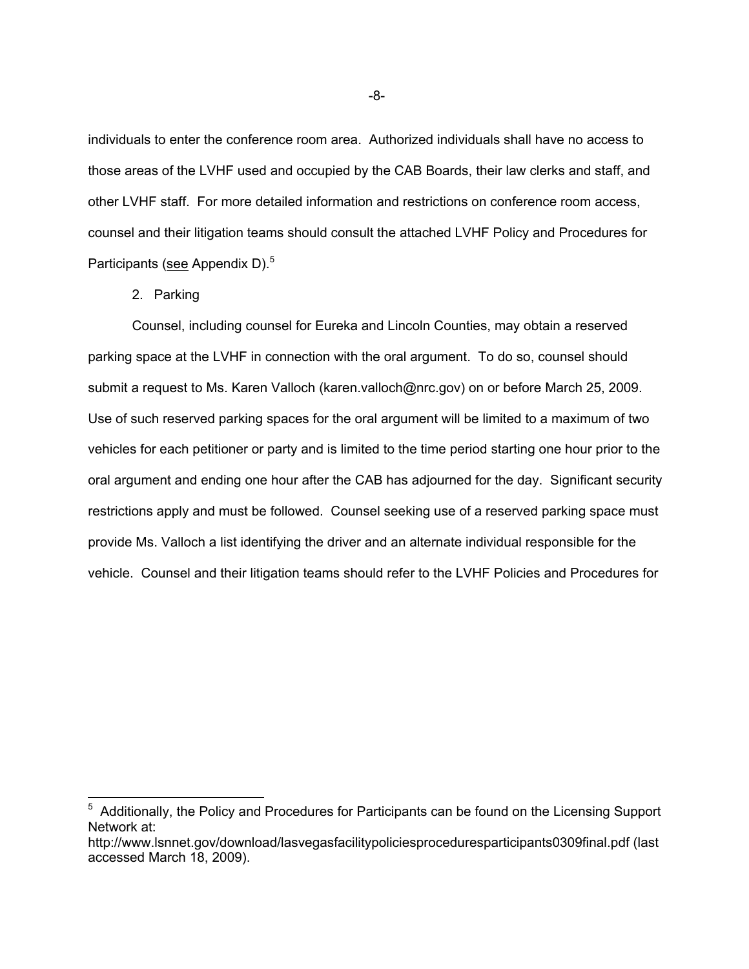individuals to enter the conference room area. Authorized individuals shall have no access to those areas of the LVHF used and occupied by the CAB Boards, their law clerks and staff, and other LVHF staff. For more detailed information and restrictions on conference room access, counsel and their litigation teams should consult the attached LVHF Policy and Procedures for Participants (see Appendix D).<sup>5</sup>

2. Parking

 Counsel, including counsel for Eureka and Lincoln Counties, may obtain a reserved parking space at the LVHF in connection with the oral argument. To do so, counsel should submit a request to Ms. Karen Valloch (karen.valloch@nrc.gov) on or before March 25, 2009. Use of such reserved parking spaces for the oral argument will be limited to a maximum of two vehicles for each petitioner or party and is limited to the time period starting one hour prior to the oral argument and ending one hour after the CAB has adjourned for the day. Significant security restrictions apply and must be followed. Counsel seeking use of a reserved parking space must provide Ms. Valloch a list identifying the driver and an alternate individual responsible for the vehicle. Counsel and their litigation teams should refer to the LVHF Policies and Procedures for

<sup>&</sup>lt;sup>5</sup> Additionally, the Policy and Procedures for Participants can be found on the Licensing Support Network at:

http://www.lsnnet.gov/download/lasvegasfacilitypoliciesproceduresparticipants0309final.pdf (last accessed March 18, 2009).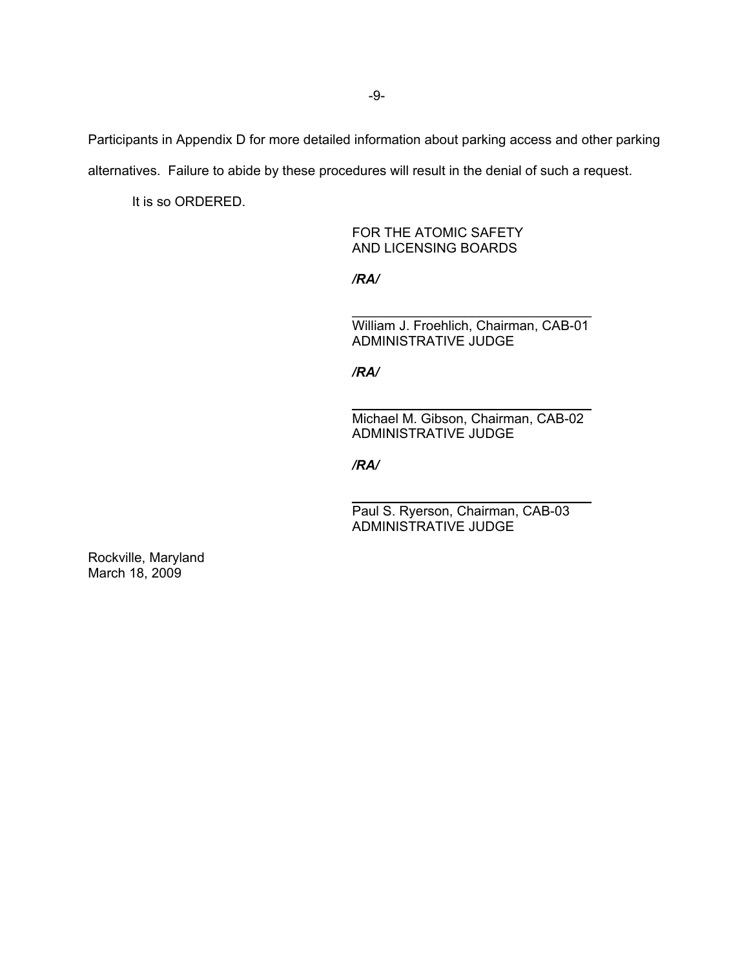Participants in Appendix D for more detailed information about parking access and other parking alternatives. Failure to abide by these procedures will result in the denial of such a request.

It is so ORDERED.

FOR THE ATOMIC SAFETY AND LICENSING BOARDS

*/RA/* 

\_\_\_\_\_\_\_\_\_\_\_\_\_\_\_\_\_\_\_\_\_\_\_\_\_\_\_\_\_\_\_\_ William J. Froehlich, Chairman, CAB-01 ADMINISTRATIVE JUDGE

*/RA/*

\_\_\_\_\_\_\_\_\_\_\_\_\_\_\_\_\_\_\_\_\_\_\_\_\_\_\_\_\_\_\_\_ Michael M. Gibson, Chairman, CAB-02 ADMINISTRATIVE JUDGE

*/RA/*

Paul S. Ryerson, Chairman, CAB-03 ADMINISTRATIVE JUDGE

\_\_\_\_\_\_\_\_\_\_\_\_\_\_\_\_\_\_\_\_\_\_\_\_\_\_\_\_\_\_\_\_

Rockville, Maryland March 18, 2009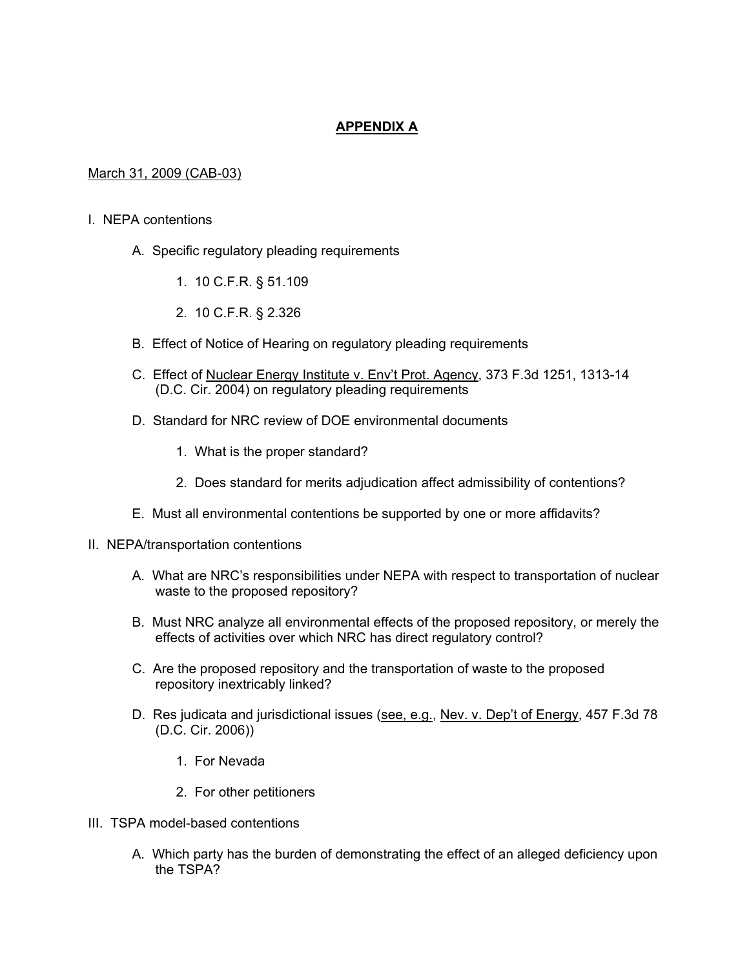# **APPENDIX A**

# March 31, 2009 (CAB-03)

#### I. NEPA contentions

- A. Specific regulatory pleading requirements
	- 1. 10 C.F.R. § 51.109
	- 2. 10 C.F.R. § 2.326
- B. Effect of Notice of Hearing on regulatory pleading requirements
- C. Effect of Nuclear Energy Institute v. Env't Prot. Agency, 373 F.3d 1251, 1313-14 (D.C. Cir. 2004) on regulatory pleading requirements
- D. Standard for NRC review of DOE environmental documents
	- 1. What is the proper standard?
	- 2. Does standard for merits adjudication affect admissibility of contentions?
- E. Must all environmental contentions be supported by one or more affidavits?
- II. NEPA/transportation contentions
	- A. What are NRC's responsibilities under NEPA with respect to transportation of nuclear waste to the proposed repository?
	- B. Must NRC analyze all environmental effects of the proposed repository, or merely the effects of activities over which NRC has direct regulatory control?
	- C. Are the proposed repository and the transportation of waste to the proposed repository inextricably linked?
	- D. Res judicata and jurisdictional issues (see, e.g., Nev. v. Dep't of Energy, 457 F.3d 78 (D.C. Cir. 2006))
		- 1. For Nevada
		- 2. For other petitioners
- III. TSPA model-based contentions
	- A. Which party has the burden of demonstrating the effect of an alleged deficiency upon the TSPA?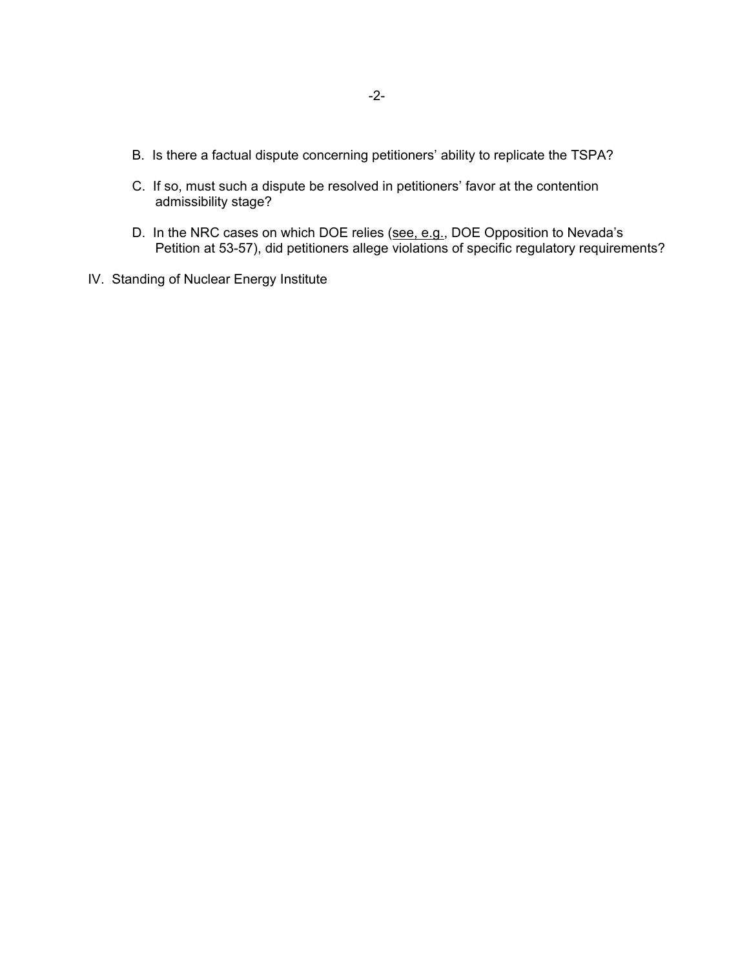- B. Is there a factual dispute concerning petitioners' ability to replicate the TSPA?
- C. If so, must such a dispute be resolved in petitioners' favor at the contention admissibility stage?
- D. In the NRC cases on which DOE relies (see, e.g., DOE Opposition to Nevada's Petition at 53-57), did petitioners allege violations of specific regulatory requirements?
- IV. Standing of Nuclear Energy Institute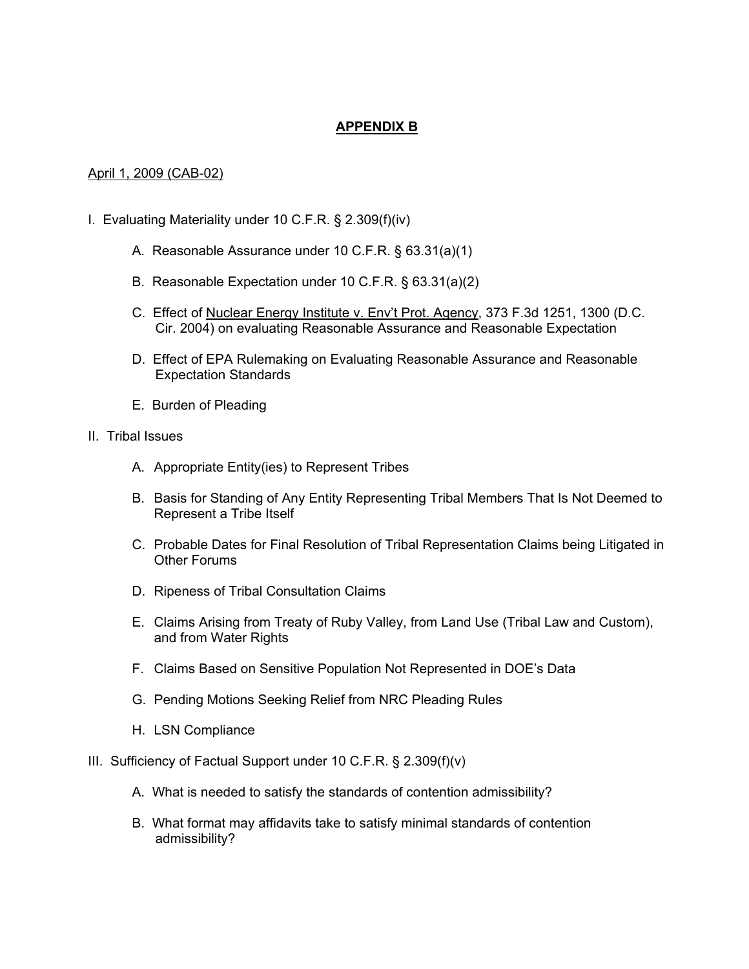# **APPENDIX B**

#### April 1, 2009 (CAB-02)

- I. Evaluating Materiality under 10 C.F.R. § 2.309(f)(iv)
	- A. Reasonable Assurance under 10 C.F.R. § 63.31(a)(1)
	- B. Reasonable Expectation under 10 C.F.R. § 63.31(a)(2)
	- C. Effect of Nuclear Energy Institute v. Env't Prot. Agency, 373 F.3d 1251, 1300 (D.C. Cir. 2004) on evaluating Reasonable Assurance and Reasonable Expectation
	- D. Effect of EPA Rulemaking on Evaluating Reasonable Assurance and Reasonable Expectation Standards
	- E. Burden of Pleading
- II. Tribal Issues
	- A. Appropriate Entity(ies) to Represent Tribes
	- B. Basis for Standing of Any Entity Representing Tribal Members That Is Not Deemed to Represent a Tribe Itself
	- C. Probable Dates for Final Resolution of Tribal Representation Claims being Litigated in Other Forums
	- D. Ripeness of Tribal Consultation Claims
	- E. Claims Arising from Treaty of Ruby Valley, from Land Use (Tribal Law and Custom), and from Water Rights
	- F. Claims Based on Sensitive Population Not Represented in DOE's Data
	- G. Pending Motions Seeking Relief from NRC Pleading Rules
	- H. LSN Compliance
- III. Sufficiency of Factual Support under 10 C.F.R. § 2.309(f)(v)
	- A. What is needed to satisfy the standards of contention admissibility?
	- B. What format may affidavits take to satisfy minimal standards of contention admissibility?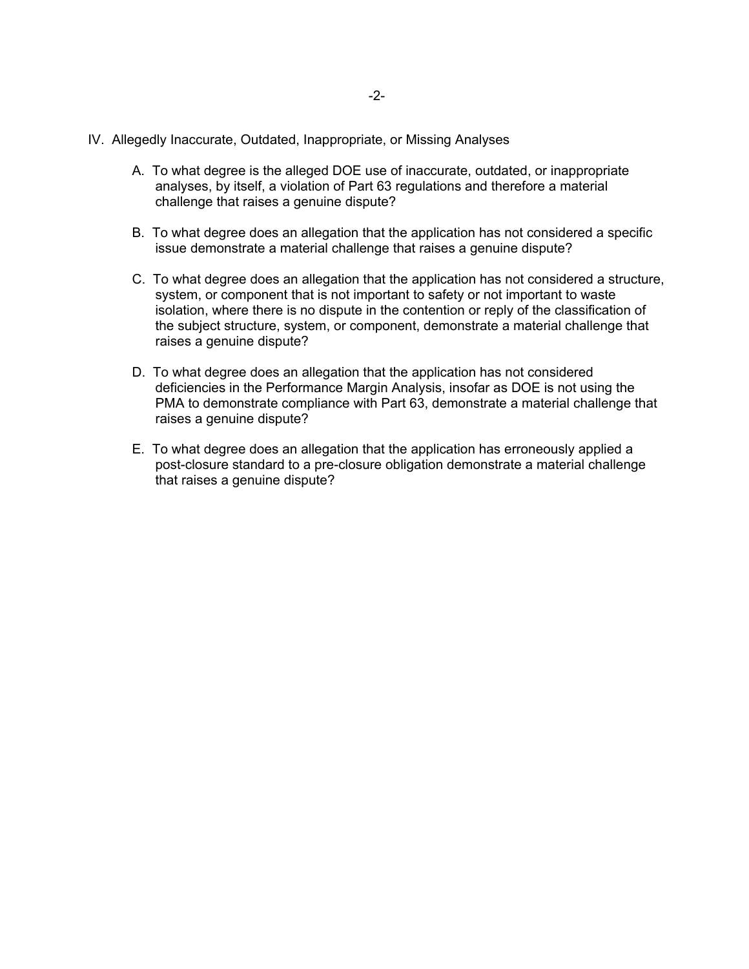- IV. Allegedly Inaccurate, Outdated, Inappropriate, or Missing Analyses
	- A. To what degree is the alleged DOE use of inaccurate, outdated, or inappropriate analyses, by itself, a violation of Part 63 regulations and therefore a material challenge that raises a genuine dispute?
	- B. To what degree does an allegation that the application has not considered a specific issue demonstrate a material challenge that raises a genuine dispute?
	- C. To what degree does an allegation that the application has not considered a structure, system, or component that is not important to safety or not important to waste isolation, where there is no dispute in the contention or reply of the classification of the subject structure, system, or component, demonstrate a material challenge that raises a genuine dispute?
	- D. To what degree does an allegation that the application has not considered deficiencies in the Performance Margin Analysis, insofar as DOE is not using the PMA to demonstrate compliance with Part 63, demonstrate a material challenge that raises a genuine dispute?
	- E. To what degree does an allegation that the application has erroneously applied a post-closure standard to a pre-closure obligation demonstrate a material challenge that raises a genuine dispute?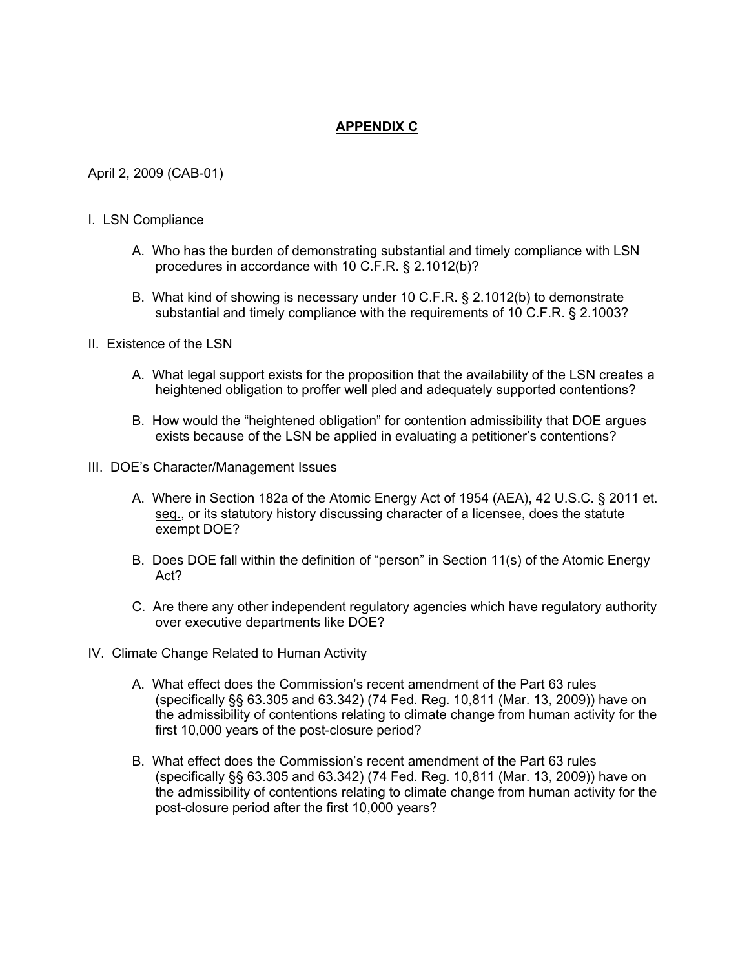# **APPENDIX C**

## April 2, 2009 (CAB-01)

#### I. LSN Compliance

- A. Who has the burden of demonstrating substantial and timely compliance with LSN procedures in accordance with 10 C.F.R. § 2.1012(b)?
- B. What kind of showing is necessary under 10 C.F.R. § 2.1012(b) to demonstrate substantial and timely compliance with the requirements of 10 C.F.R. § 2.1003?
- II. Existence of the LSN
	- A. What legal support exists for the proposition that the availability of the LSN creates a heightened obligation to proffer well pled and adequately supported contentions?
	- B. How would the "heightened obligation" for contention admissibility that DOE argues exists because of the LSN be applied in evaluating a petitioner's contentions?
- III. DOE's Character/Management Issues
	- A. Where in Section 182a of the Atomic Energy Act of 1954 (AEA), 42 U.S.C. § 2011 et. seq., or its statutory history discussing character of a licensee, does the statute exempt DOE?
	- B. Does DOE fall within the definition of "person" in Section 11(s) of the Atomic Energy Act?
	- C. Are there any other independent regulatory agencies which have regulatory authority over executive departments like DOE?
- IV. Climate Change Related to Human Activity
	- A. What effect does the Commission's recent amendment of the Part 63 rules (specifically §§ 63.305 and 63.342) (74 Fed. Reg. 10,811 (Mar. 13, 2009)) have on the admissibility of contentions relating to climate change from human activity for the first 10,000 years of the post-closure period?
	- B. What effect does the Commission's recent amendment of the Part 63 rules (specifically §§ 63.305 and 63.342) (74 Fed. Reg. 10,811 (Mar. 13, 2009)) have on the admissibility of contentions relating to climate change from human activity for the post-closure period after the first 10,000 years?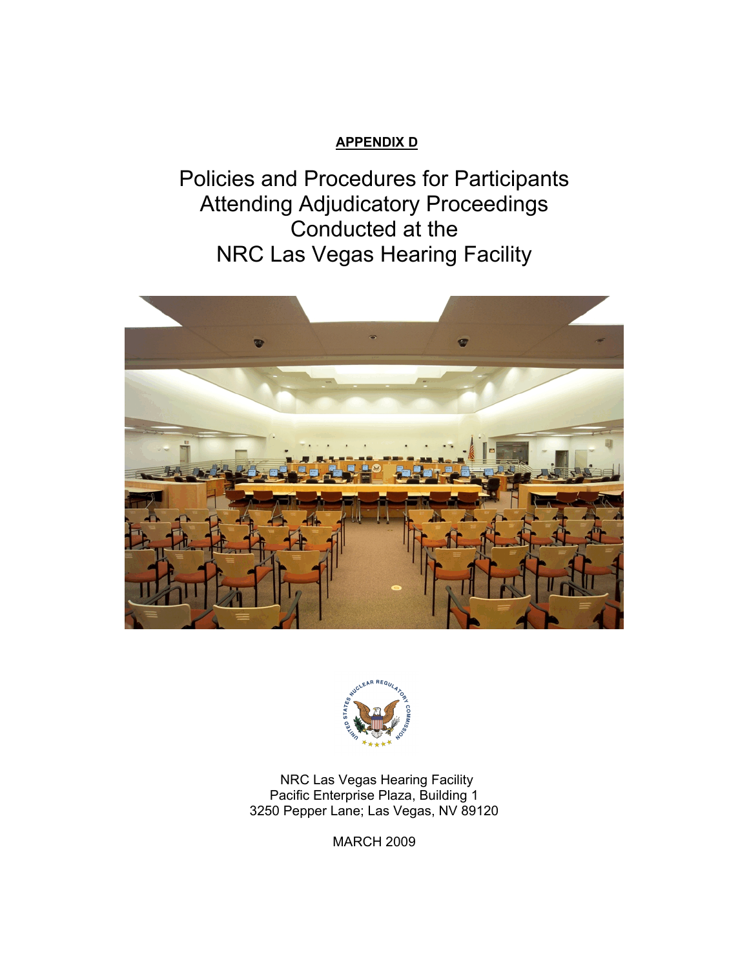# **APPENDIX D**

Policies and Procedures for Participants Attending Adjudicatory Proceedings Conducted at the NRC Las Vegas Hearing Facility





NRC Las Vegas Hearing Facility Pacific Enterprise Plaza, Building 1 3250 Pepper Lane; Las Vegas, NV 89120

MARCH 2009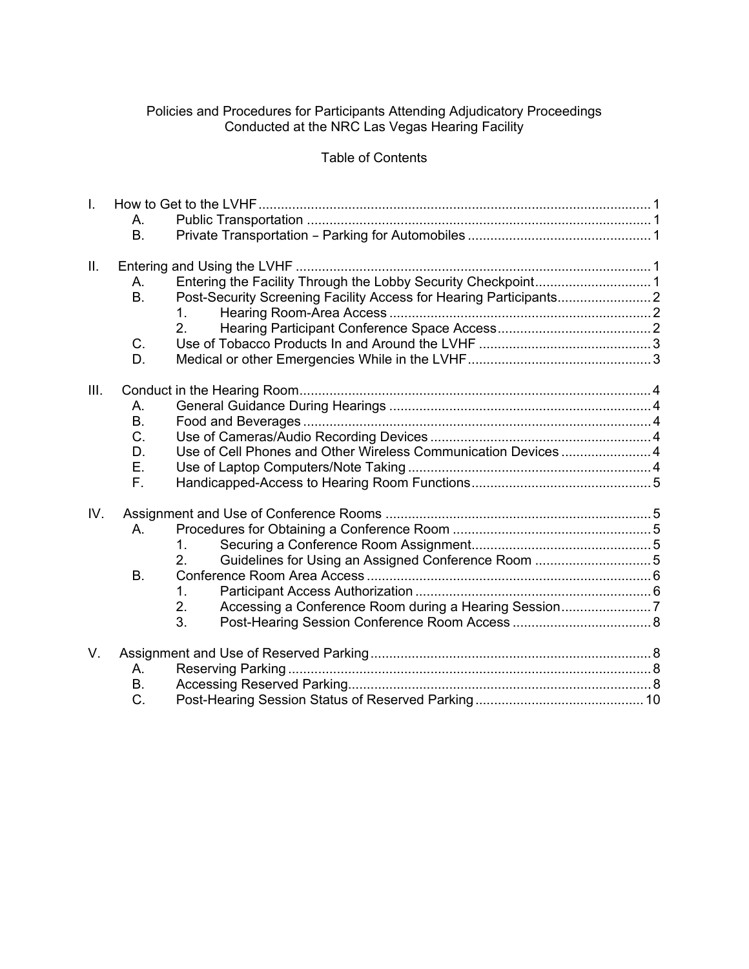## Policies and Procedures for Participants Attending Adjudicatory Proceedings Conducted at the NRC Las Vegas Hearing Facility

# Table of Contents

| $\mathbf{L}$ |                |                |  |
|--------------|----------------|----------------|--|
|              | А.             |                |  |
|              | Β.             |                |  |
|              |                |                |  |
| II.          |                |                |  |
|              | Α.             |                |  |
|              | B <sub>1</sub> |                |  |
|              |                | 1.             |  |
|              |                | 2 <sub>1</sub> |  |
|              | C.             |                |  |
|              | D.             |                |  |
|              |                |                |  |
| III.         |                |                |  |
|              | А.             |                |  |
|              | <b>B.</b>      |                |  |
|              | C.             |                |  |
|              | D.             |                |  |
|              | Ε.             |                |  |
|              | F.             |                |  |
|              |                |                |  |
| IV.          |                |                |  |
|              | $A_{\cdot}$    |                |  |
|              |                | 1.             |  |
|              |                | 2.             |  |
|              | <b>B.</b>      |                |  |
|              |                | $1_{-}$        |  |
|              |                | 2.             |  |
|              |                | 3.             |  |
|              |                |                |  |
| V.           |                |                |  |
|              | Α.             |                |  |
|              | <b>B.</b>      |                |  |
|              | C.             |                |  |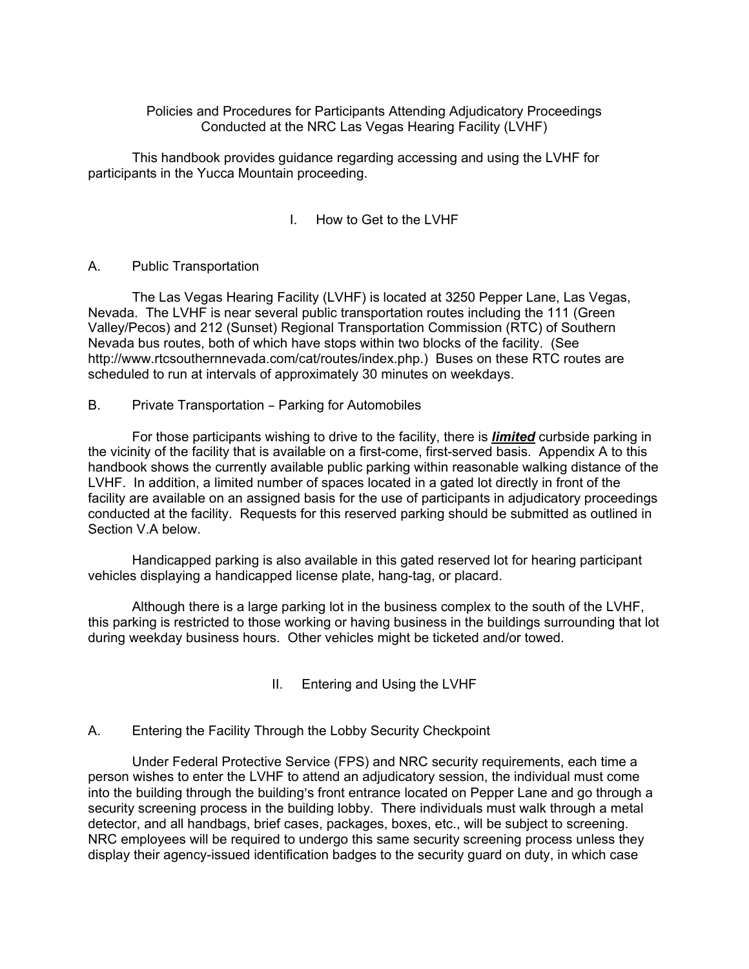## Policies and Procedures for Participants Attending Adjudicatory Proceedings Conducted at the NRC Las Vegas Hearing Facility (LVHF)

This handbook provides guidance regarding accessing and using the LVHF for participants in the Yucca Mountain proceeding.

# I. How to Get to the LVHF

#### A. Public Transportation

The Las Vegas Hearing Facility (LVHF) is located at 3250 Pepper Lane, Las Vegas, Nevada. The LVHF is near several public transportation routes including the 111 (Green Valley/Pecos) and 212 (Sunset) Regional Transportation Commission (RTC) of Southern Nevada bus routes, both of which have stops within two blocks of the facility. (See http://www.rtcsouthernnevada.com/cat/routes/index.php.) Buses on these RTC routes are scheduled to run at intervals of approximately 30 minutes on weekdays.

#### B. Private Transportation - Parking for Automobiles

For those participants wishing to drive to the facility, there is *limited* curbside parking in the vicinity of the facility that is available on a first-come, first-served basis. Appendix A to this handbook shows the currently available public parking within reasonable walking distance of the LVHF. In addition, a limited number of spaces located in a gated lot directly in front of the facility are available on an assigned basis for the use of participants in adjudicatory proceedings conducted at the facility. Requests for this reserved parking should be submitted as outlined in Section V.A below.

Handicapped parking is also available in this gated reserved lot for hearing participant vehicles displaying a handicapped license plate, hang-tag, or placard.

Although there is a large parking lot in the business complex to the south of the LVHF, this parking is restricted to those working or having business in the buildings surrounding that lot during weekday business hours. Other vehicles might be ticketed and/or towed.

# II. Entering and Using the LVHF

# A. Entering the Facility Through the Lobby Security Checkpoint

Under Federal Protective Service (FPS) and NRC security requirements, each time a person wishes to enter the LVHF to attend an adjudicatory session, the individual must come into the building through the building's front entrance located on Pepper Lane and go through a security screening process in the building lobby. There individuals must walk through a metal detector, and all handbags, brief cases, packages, boxes, etc., will be subject to screening. NRC employees will be required to undergo this same security screening process unless they display their agency-issued identification badges to the security guard on duty, in which case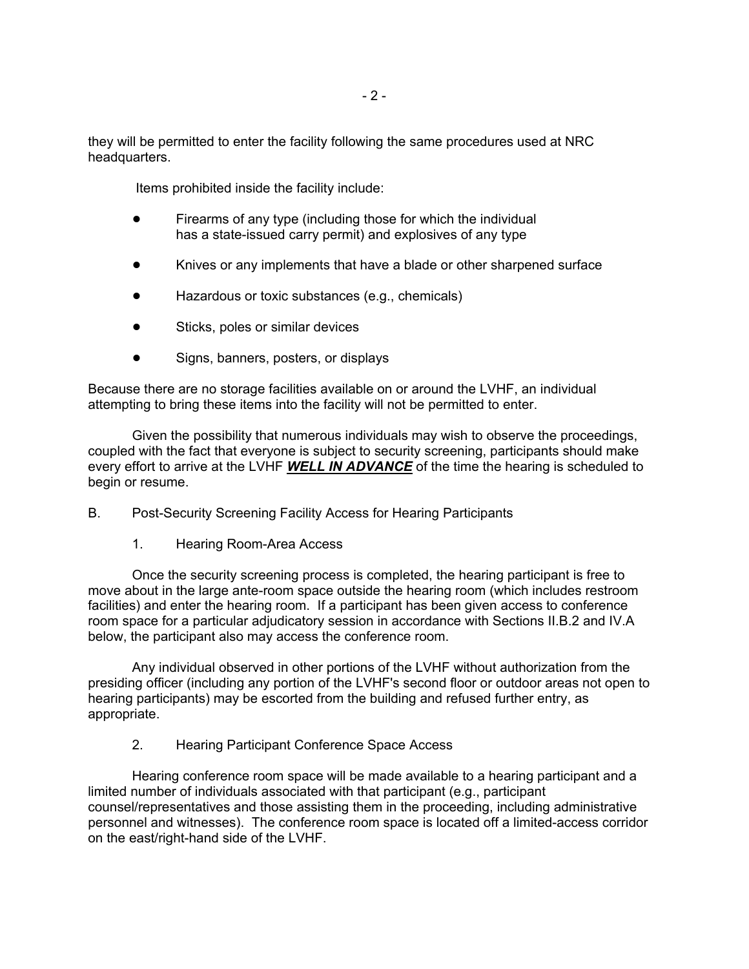they will be permitted to enter the facility following the same procedures used at NRC headquarters.

Items prohibited inside the facility include:

- Firearms of any type (including those for which the individual has a state-issued carry permit) and explosives of any type
- Knives or any implements that have a blade or other sharpened surface
- Hazardous or toxic substances (e.g., chemicals)
- Sticks, poles or similar devices
- Signs, banners, posters, or displays

Because there are no storage facilities available on or around the LVHF, an individual attempting to bring these items into the facility will not be permitted to enter.

Given the possibility that numerous individuals may wish to observe the proceedings, coupled with the fact that everyone is subject to security screening, participants should make every effort to arrive at the LVHF *WELL IN ADVANCE* of the time the hearing is scheduled to begin or resume.

B. Post-Security Screening Facility Access for Hearing Participants

1. Hearing Room-Area Access

Once the security screening process is completed, the hearing participant is free to move about in the large ante-room space outside the hearing room (which includes restroom facilities) and enter the hearing room. If a participant has been given access to conference room space for a particular adjudicatory session in accordance with Sections II.B.2 and IV.A below, the participant also may access the conference room.

Any individual observed in other portions of the LVHF without authorization from the presiding officer (including any portion of the LVHF's second floor or outdoor areas not open to hearing participants) may be escorted from the building and refused further entry, as appropriate.

2. Hearing Participant Conference Space Access

Hearing conference room space will be made available to a hearing participant and a limited number of individuals associated with that participant (e.g., participant counsel/representatives and those assisting them in the proceeding, including administrative personnel and witnesses). The conference room space is located off a limited-access corridor on the east/right-hand side of the LVHF.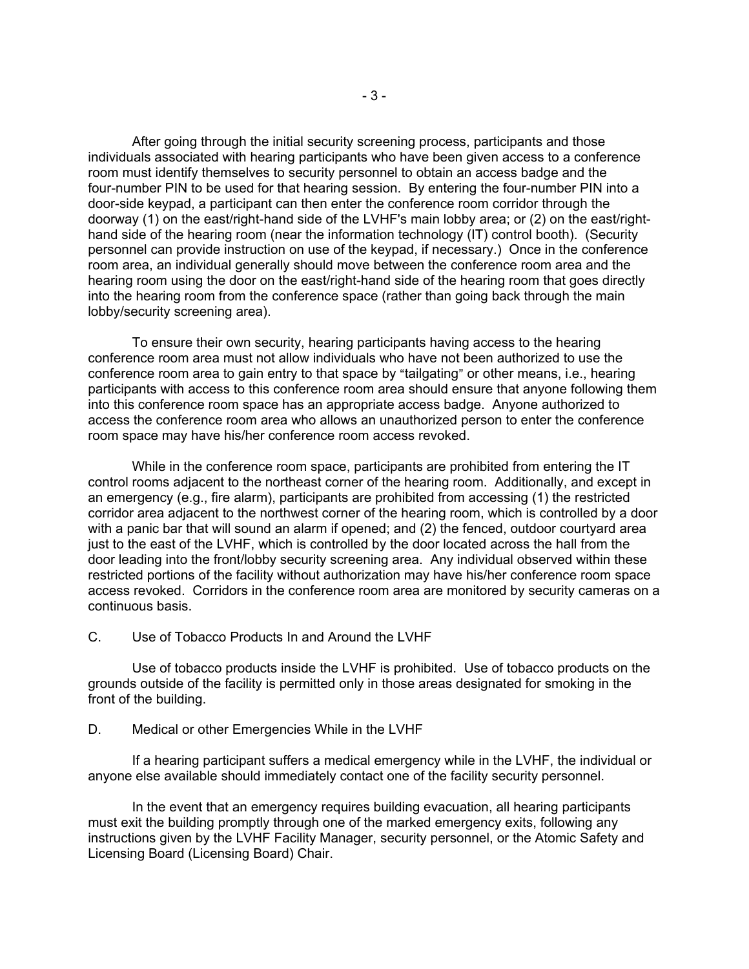After going through the initial security screening process, participants and those individuals associated with hearing participants who have been given access to a conference room must identify themselves to security personnel to obtain an access badge and the four-number PIN to be used for that hearing session. By entering the four-number PIN into a door-side keypad, a participant can then enter the conference room corridor through the doorway (1) on the east/right-hand side of the LVHF's main lobby area; or (2) on the east/righthand side of the hearing room (near the information technology (IT) control booth). (Security personnel can provide instruction on use of the keypad, if necessary.) Once in the conference room area, an individual generally should move between the conference room area and the hearing room using the door on the east/right-hand side of the hearing room that goes directly into the hearing room from the conference space (rather than going back through the main lobby/security screening area).

To ensure their own security, hearing participants having access to the hearing conference room area must not allow individuals who have not been authorized to use the conference room area to gain entry to that space by "tailgating" or other means, i.e., hearing participants with access to this conference room area should ensure that anyone following them into this conference room space has an appropriate access badge. Anyone authorized to access the conference room area who allows an unauthorized person to enter the conference room space may have his/her conference room access revoked.

While in the conference room space, participants are prohibited from entering the IT control rooms adjacent to the northeast corner of the hearing room. Additionally, and except in an emergency (e.g., fire alarm), participants are prohibited from accessing (1) the restricted corridor area adjacent to the northwest corner of the hearing room, which is controlled by a door with a panic bar that will sound an alarm if opened; and (2) the fenced, outdoor courtyard area just to the east of the LVHF, which is controlled by the door located across the hall from the door leading into the front/lobby security screening area. Any individual observed within these restricted portions of the facility without authorization may have his/her conference room space access revoked. Corridors in the conference room area are monitored by security cameras on a continuous basis.

#### C. Use of Tobacco Products In and Around the LVHF

Use of tobacco products inside the LVHF is prohibited. Use of tobacco products on the grounds outside of the facility is permitted only in those areas designated for smoking in the front of the building.

#### D. Medical or other Emergencies While in the LVHF

If a hearing participant suffers a medical emergency while in the LVHF, the individual or anyone else available should immediately contact one of the facility security personnel.

In the event that an emergency requires building evacuation, all hearing participants must exit the building promptly through one of the marked emergency exits, following any instructions given by the LVHF Facility Manager, security personnel, or the Atomic Safety and Licensing Board (Licensing Board) Chair.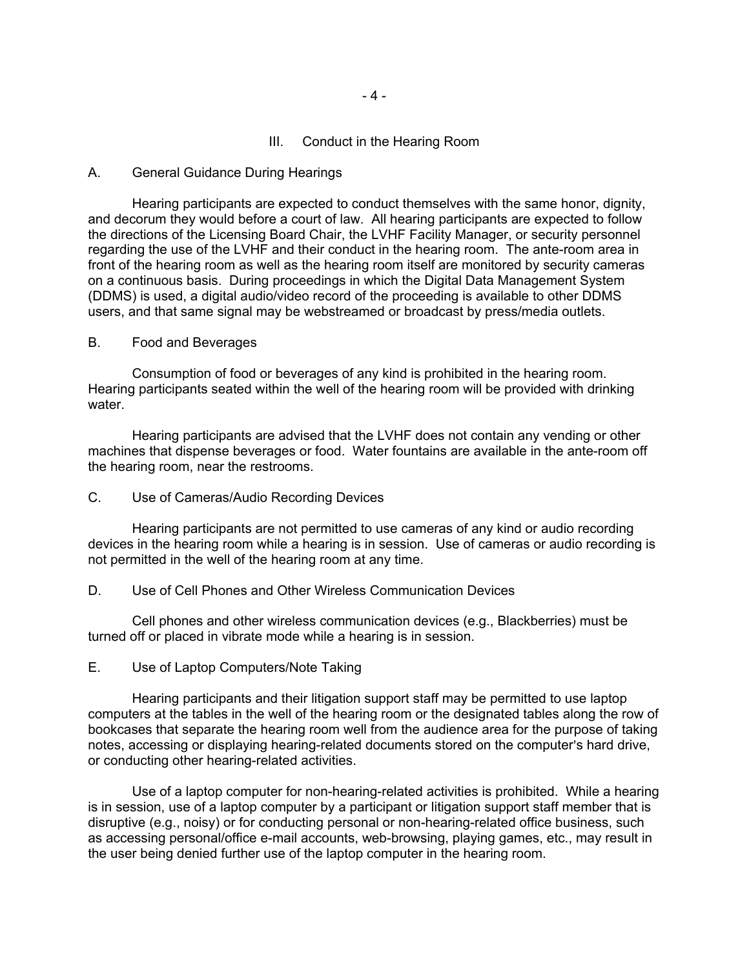III. Conduct in the Hearing Room

#### A. General Guidance During Hearings

Hearing participants are expected to conduct themselves with the same honor, dignity, and decorum they would before a court of law. All hearing participants are expected to follow the directions of the Licensing Board Chair, the LVHF Facility Manager, or security personnel regarding the use of the LVHF and their conduct in the hearing room. The ante-room area in front of the hearing room as well as the hearing room itself are monitored by security cameras on a continuous basis. During proceedings in which the Digital Data Management System (DDMS) is used, a digital audio/video record of the proceeding is available to other DDMS users, and that same signal may be webstreamed or broadcast by press/media outlets.

#### B. Food and Beverages

Consumption of food or beverages of any kind is prohibited in the hearing room. Hearing participants seated within the well of the hearing room will be provided with drinking water.

Hearing participants are advised that the LVHF does not contain any vending or other machines that dispense beverages or food. Water fountains are available in the ante-room off the hearing room, near the restrooms.

#### C. Use of Cameras/Audio Recording Devices

Hearing participants are not permitted to use cameras of any kind or audio recording devices in the hearing room while a hearing is in session. Use of cameras or audio recording is not permitted in the well of the hearing room at any time.

#### D. Use of Cell Phones and Other Wireless Communication Devices

Cell phones and other wireless communication devices (e.g., Blackberries) must be turned off or placed in vibrate mode while a hearing is in session.

## E. Use of Laptop Computers/Note Taking

Hearing participants and their litigation support staff may be permitted to use laptop computers at the tables in the well of the hearing room or the designated tables along the row of bookcases that separate the hearing room well from the audience area for the purpose of taking notes, accessing or displaying hearing-related documents stored on the computer's hard drive, or conducting other hearing-related activities.

Use of a laptop computer for non-hearing-related activities is prohibited. While a hearing is in session, use of a laptop computer by a participant or litigation support staff member that is disruptive (e.g., noisy) or for conducting personal or non-hearing-related office business, such as accessing personal/office e-mail accounts, web-browsing, playing games, etc., may result in the user being denied further use of the laptop computer in the hearing room.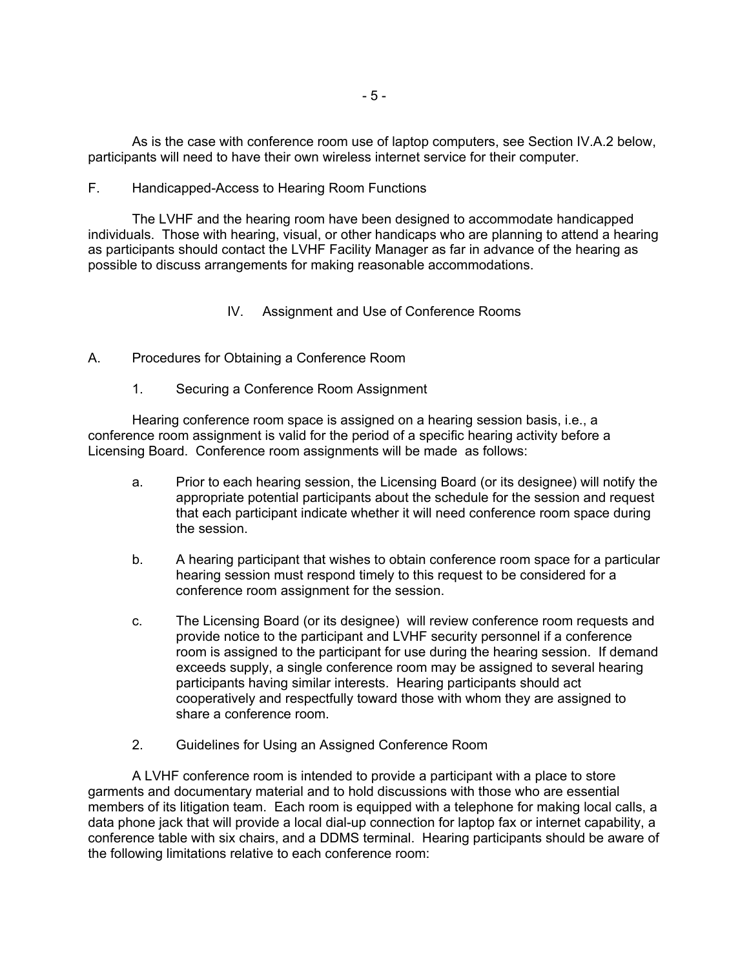As is the case with conference room use of laptop computers, see Section IV.A.2 below, participants will need to have their own wireless internet service for their computer.

#### F. Handicapped-Access to Hearing Room Functions

The LVHF and the hearing room have been designed to accommodate handicapped individuals. Those with hearing, visual, or other handicaps who are planning to attend a hearing as participants should contact the LVHF Facility Manager as far in advance of the hearing as possible to discuss arrangements for making reasonable accommodations.

#### IV. Assignment and Use of Conference Rooms

#### A. Procedures for Obtaining a Conference Room

1. Securing a Conference Room Assignment

Hearing conference room space is assigned on a hearing session basis, i.e., a conference room assignment is valid for the period of a specific hearing activity before a Licensing Board. Conference room assignments will be made as follows:

- a. Prior to each hearing session, the Licensing Board (or its designee) will notify the appropriate potential participants about the schedule for the session and request that each participant indicate whether it will need conference room space during the session.
- b. A hearing participant that wishes to obtain conference room space for a particular hearing session must respond timely to this request to be considered for a conference room assignment for the session.
- c. The Licensing Board (or its designee) will review conference room requests and provide notice to the participant and LVHF security personnel if a conference room is assigned to the participant for use during the hearing session. If demand exceeds supply, a single conference room may be assigned to several hearing participants having similar interests. Hearing participants should act cooperatively and respectfully toward those with whom they are assigned to share a conference room.
- 2. Guidelines for Using an Assigned Conference Room

A LVHF conference room is intended to provide a participant with a place to store garments and documentary material and to hold discussions with those who are essential members of its litigation team. Each room is equipped with a telephone for making local calls, a data phone jack that will provide a local dial-up connection for laptop fax or internet capability, a conference table with six chairs, and a DDMS terminal. Hearing participants should be aware of the following limitations relative to each conference room: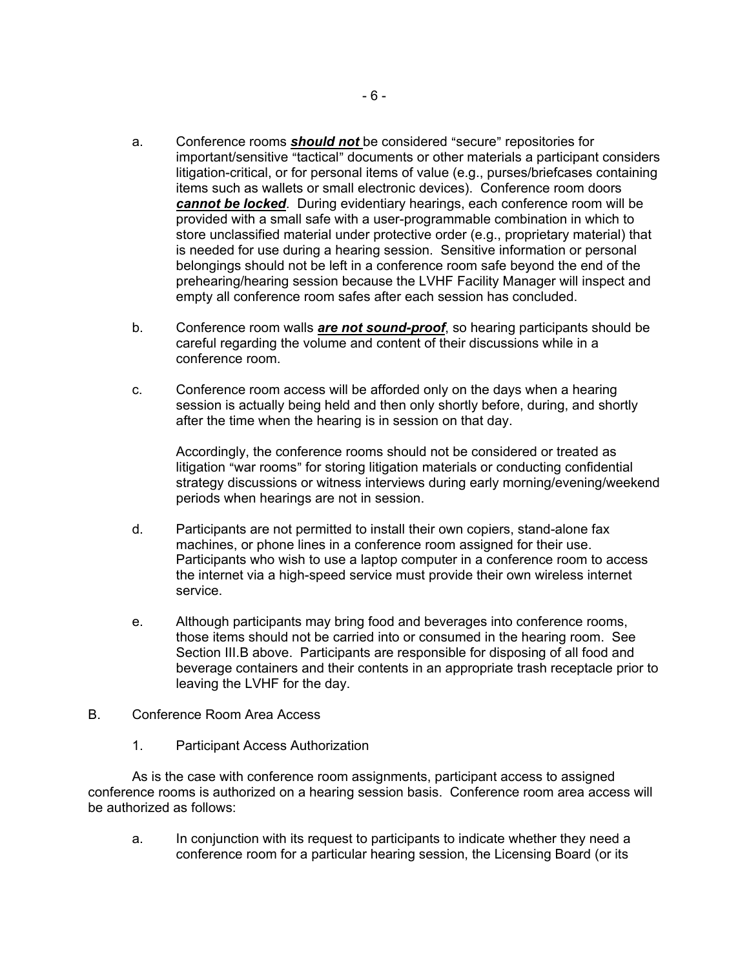- a. Conference rooms **should not** be considered "secure" repositories for important/sensitive "tactical" documents or other materials a participant considers litigation-critical, or for personal items of value (e.g., purses/briefcases containing items such as wallets or small electronic devices). Conference room doors *cannot be locked*. During evidentiary hearings, each conference room will be provided with a small safe with a user-programmable combination in which to store unclassified material under protective order (e.g., proprietary material) that is needed for use during a hearing session. Sensitive information or personal belongings should not be left in a conference room safe beyond the end of the prehearing/hearing session because the LVHF Facility Manager will inspect and empty all conference room safes after each session has concluded.
- b. Conference room walls *are not sound-proof*, so hearing participants should be careful regarding the volume and content of their discussions while in a conference room.
- c. Conference room access will be afforded only on the days when a hearing session is actually being held and then only shortly before, during, and shortly after the time when the hearing is in session on that day.

Accordingly, the conference rooms should not be considered or treated as litigation "war rooms" for storing litigation materials or conducting confidential strategy discussions or witness interviews during early morning/evening/weekend periods when hearings are not in session.

- d. Participants are not permitted to install their own copiers, stand-alone fax machines, or phone lines in a conference room assigned for their use. Participants who wish to use a laptop computer in a conference room to access the internet via a high-speed service must provide their own wireless internet service.
- e. Although participants may bring food and beverages into conference rooms, those items should not be carried into or consumed in the hearing room. See Section III.B above. Participants are responsible for disposing of all food and beverage containers and their contents in an appropriate trash receptacle prior to leaving the LVHF for the day.
- B. Conference Room Area Access
	- 1. Participant Access Authorization

As is the case with conference room assignments, participant access to assigned conference rooms is authorized on a hearing session basis. Conference room area access will be authorized as follows:

a. In conjunction with its request to participants to indicate whether they need a conference room for a particular hearing session, the Licensing Board (or its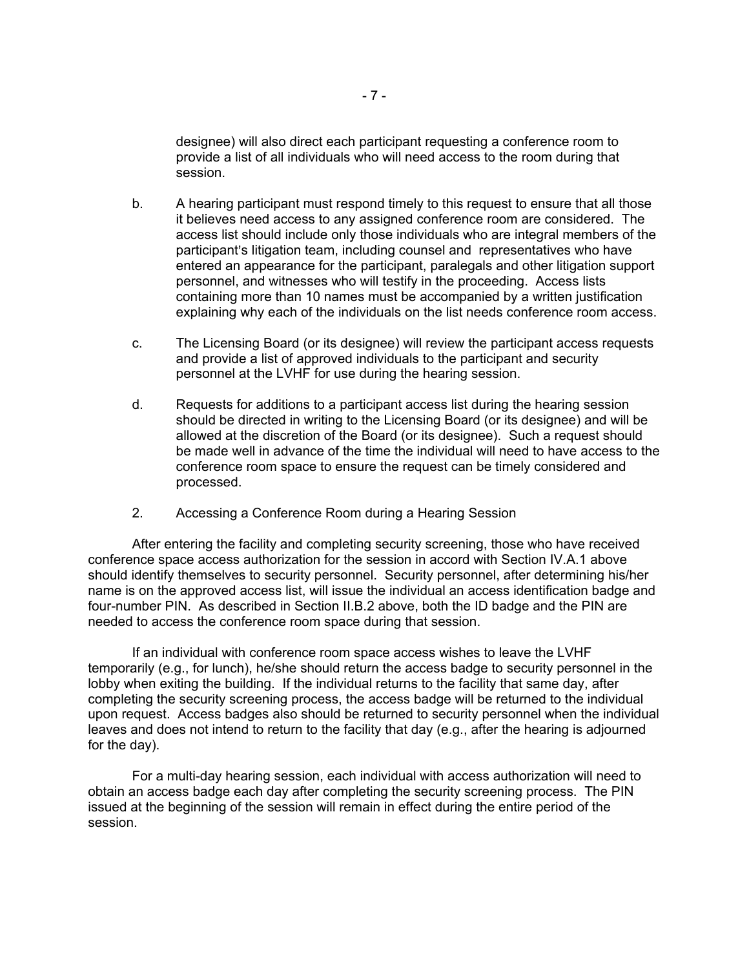designee) will also direct each participant requesting a conference room to provide a list of all individuals who will need access to the room during that session.

- b. A hearing participant must respond timely to this request to ensure that all those it believes need access to any assigned conference room are considered. The access list should include only those individuals who are integral members of the participant's litigation team, including counsel and representatives who have entered an appearance for the participant, paralegals and other litigation support personnel, and witnesses who will testify in the proceeding. Access lists containing more than 10 names must be accompanied by a written justification explaining why each of the individuals on the list needs conference room access.
- c. The Licensing Board (or its designee) will review the participant access requests and provide a list of approved individuals to the participant and security personnel at the LVHF for use during the hearing session.
- d. Requests for additions to a participant access list during the hearing session should be directed in writing to the Licensing Board (or its designee) and will be allowed at the discretion of the Board (or its designee). Such a request should be made well in advance of the time the individual will need to have access to the conference room space to ensure the request can be timely considered and processed.
- 2. Accessing a Conference Room during a Hearing Session

After entering the facility and completing security screening, those who have received conference space access authorization for the session in accord with Section IV.A.1 above should identify themselves to security personnel. Security personnel, after determining his/her name is on the approved access list, will issue the individual an access identification badge and four-number PIN. As described in Section II.B.2 above, both the ID badge and the PIN are needed to access the conference room space during that session.

If an individual with conference room space access wishes to leave the LVHF temporarily (e.g., for lunch), he/she should return the access badge to security personnel in the lobby when exiting the building. If the individual returns to the facility that same day, after completing the security screening process, the access badge will be returned to the individual upon request. Access badges also should be returned to security personnel when the individual leaves and does not intend to return to the facility that day (e.g., after the hearing is adjourned for the day).

For a multi-day hearing session, each individual with access authorization will need to obtain an access badge each day after completing the security screening process. The PIN issued at the beginning of the session will remain in effect during the entire period of the session.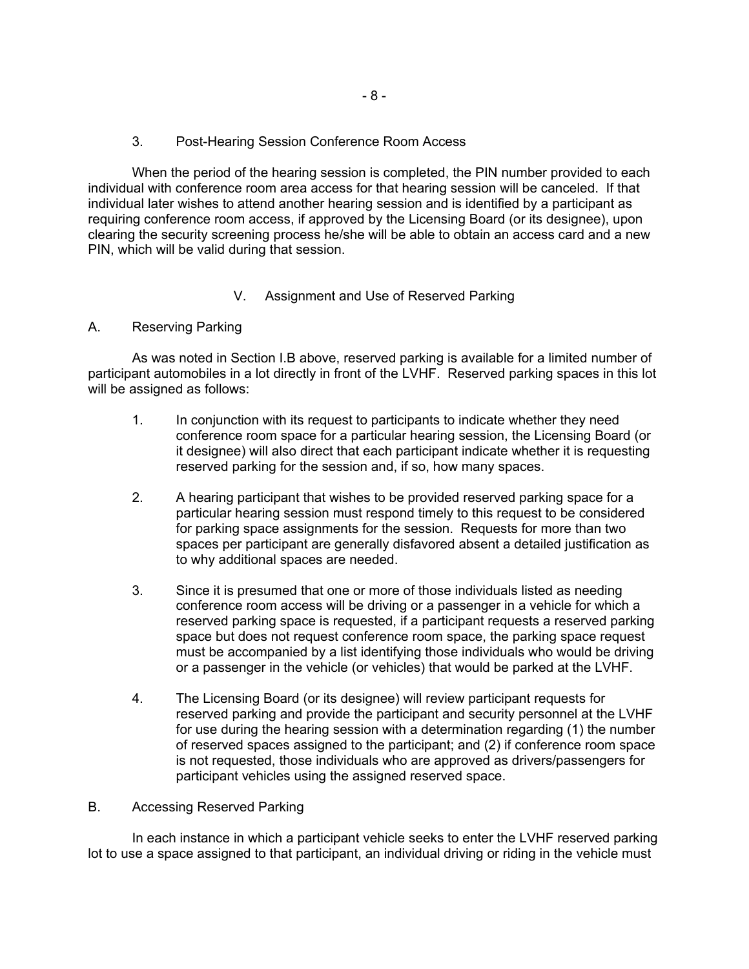#### 3. Post-Hearing Session Conference Room Access

When the period of the hearing session is completed, the PIN number provided to each individual with conference room area access for that hearing session will be canceled. If that individual later wishes to attend another hearing session and is identified by a participant as requiring conference room access, if approved by the Licensing Board (or its designee), upon clearing the security screening process he/she will be able to obtain an access card and a new PIN, which will be valid during that session.

# V. Assignment and Use of Reserved Parking

# A. Reserving Parking

As was noted in Section I.B above, reserved parking is available for a limited number of participant automobiles in a lot directly in front of the LVHF. Reserved parking spaces in this lot will be assigned as follows:

- 1. In conjunction with its request to participants to indicate whether they need conference room space for a particular hearing session, the Licensing Board (or it designee) will also direct that each participant indicate whether it is requesting reserved parking for the session and, if so, how many spaces.
- 2. A hearing participant that wishes to be provided reserved parking space for a particular hearing session must respond timely to this request to be considered for parking space assignments for the session. Requests for more than two spaces per participant are generally disfavored absent a detailed justification as to why additional spaces are needed.
- 3. Since it is presumed that one or more of those individuals listed as needing conference room access will be driving or a passenger in a vehicle for which a reserved parking space is requested, if a participant requests a reserved parking space but does not request conference room space, the parking space request must be accompanied by a list identifying those individuals who would be driving or a passenger in the vehicle (or vehicles) that would be parked at the LVHF.
- 4. The Licensing Board (or its designee) will review participant requests for reserved parking and provide the participant and security personnel at the LVHF for use during the hearing session with a determination regarding (1) the number of reserved spaces assigned to the participant; and (2) if conference room space is not requested, those individuals who are approved as drivers/passengers for participant vehicles using the assigned reserved space.

# B. Accessing Reserved Parking

In each instance in which a participant vehicle seeks to enter the LVHF reserved parking lot to use a space assigned to that participant, an individual driving or riding in the vehicle must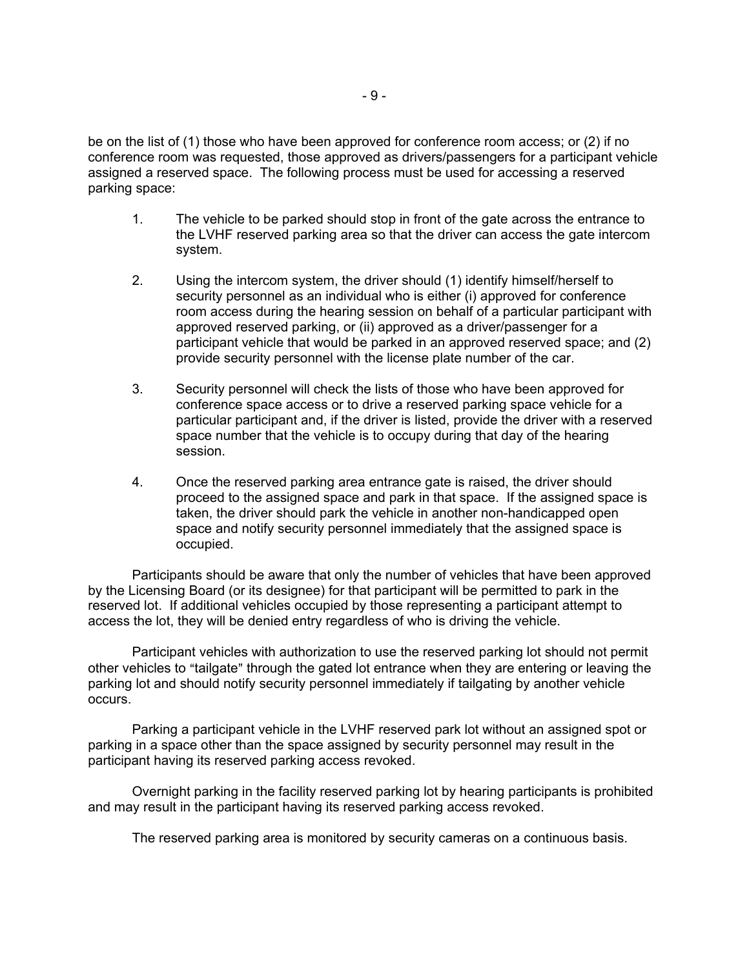be on the list of (1) those who have been approved for conference room access; or (2) if no conference room was requested, those approved as drivers/passengers for a participant vehicle assigned a reserved space. The following process must be used for accessing a reserved parking space:

- 1. The vehicle to be parked should stop in front of the gate across the entrance to the LVHF reserved parking area so that the driver can access the gate intercom system.
- 2. Using the intercom system, the driver should (1) identify himself/herself to security personnel as an individual who is either (i) approved for conference room access during the hearing session on behalf of a particular participant with approved reserved parking, or (ii) approved as a driver/passenger for a participant vehicle that would be parked in an approved reserved space; and (2) provide security personnel with the license plate number of the car.
- 3. Security personnel will check the lists of those who have been approved for conference space access or to drive a reserved parking space vehicle for a particular participant and, if the driver is listed, provide the driver with a reserved space number that the vehicle is to occupy during that day of the hearing session.
- 4. Once the reserved parking area entrance gate is raised, the driver should proceed to the assigned space and park in that space. If the assigned space is taken, the driver should park the vehicle in another non-handicapped open space and notify security personnel immediately that the assigned space is occupied.

Participants should be aware that only the number of vehicles that have been approved by the Licensing Board (or its designee) for that participant will be permitted to park in the reserved lot. If additional vehicles occupied by those representing a participant attempt to access the lot, they will be denied entry regardless of who is driving the vehicle.

Participant vehicles with authorization to use the reserved parking lot should not permit other vehicles to "tailgate" through the gated lot entrance when they are entering or leaving the parking lot and should notify security personnel immediately if tailgating by another vehicle occurs.

Parking a participant vehicle in the LVHF reserved park lot without an assigned spot or parking in a space other than the space assigned by security personnel may result in the participant having its reserved parking access revoked.

Overnight parking in the facility reserved parking lot by hearing participants is prohibited and may result in the participant having its reserved parking access revoked.

The reserved parking area is monitored by security cameras on a continuous basis.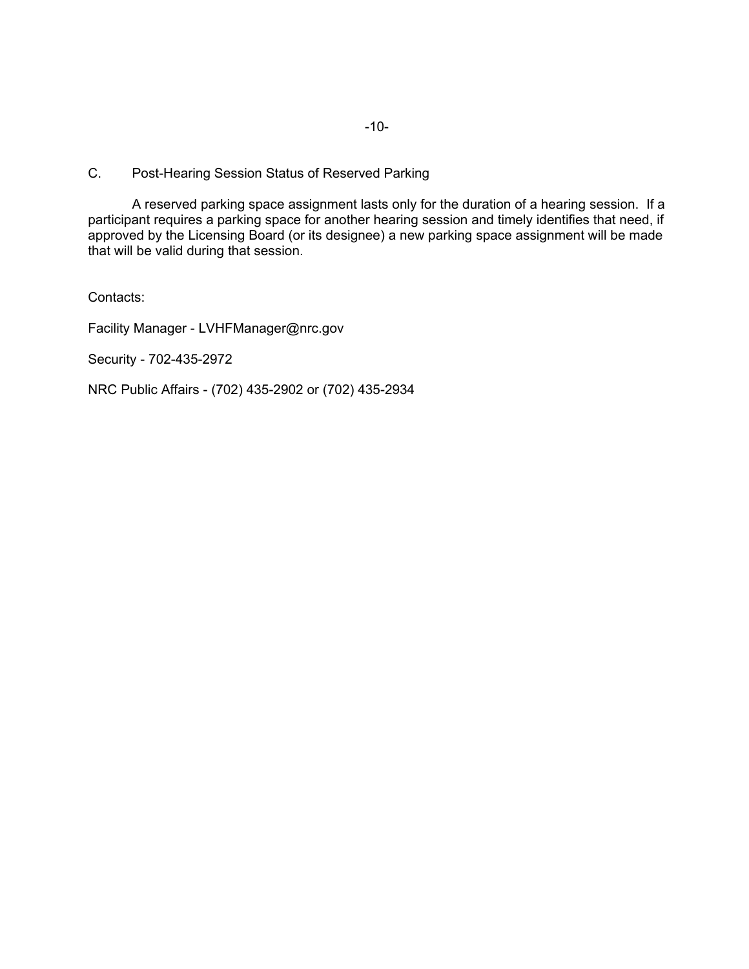C. Post-Hearing Session Status of Reserved Parking

A reserved parking space assignment lasts only for the duration of a hearing session. If a participant requires a parking space for another hearing session and timely identifies that need, if approved by the Licensing Board (or its designee) a new parking space assignment will be made that will be valid during that session.

Contacts:

Facility Manager - LVHFManager@nrc.gov

Security - 702-435-2972

NRC Public Affairs - (702) 435-2902 or (702) 435-2934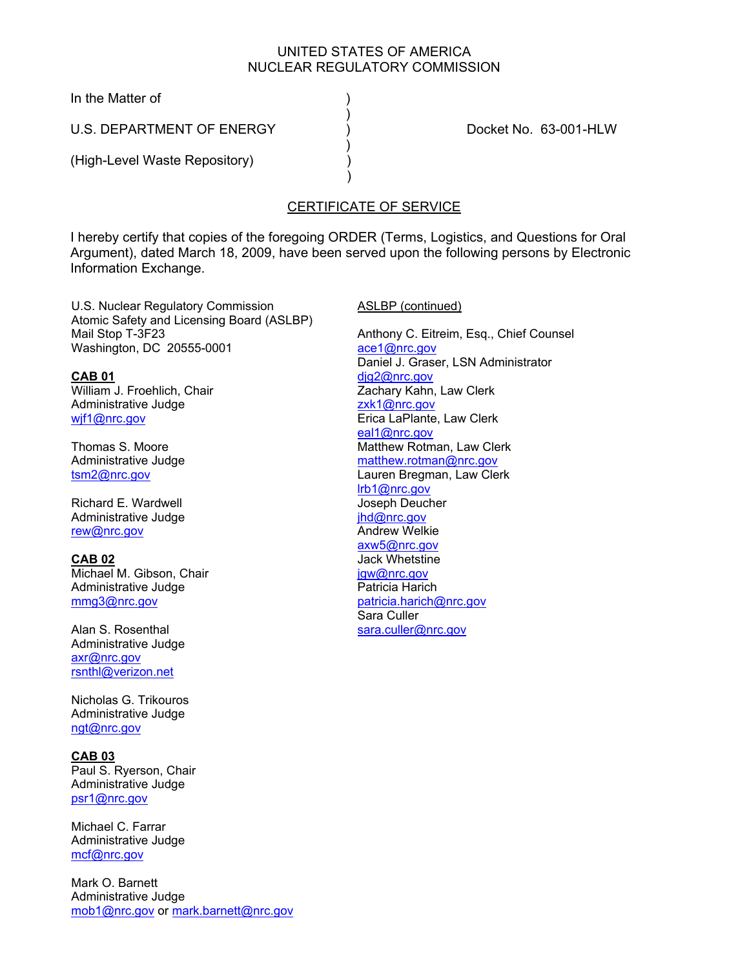## UNITED STATES OF AMERICA NUCLEAR REGULATORY COMMISSION

In the Matter of (1)

 $)$ U.S. DEPARTMENT OF ENERGY (D.S. DOCKet No. 63-001-HLW

 $)$ 

 $)$ (High-Level Waste Repository) )

# CERTIFICATE OF SERVICE

I hereby certify that copies of the foregoing ORDER (Terms, Logistics, and Questions for Oral Argument), dated March 18, 2009, have been served upon the following persons by Electronic Information Exchange.

U.S. Nuclear Regulatory Commission Atomic Safety and Licensing Board (ASLBP) Mail Stop T-3F23 Washington, DC 20555-0001

**CAB 01** William J. Froehlich, Chair Administrative Judge wjf1@nrc.gov

Thomas S. Moore Administrative Judge tsm2@nrc.gov

Richard E. Wardwell Administrative Judge rew@nrc.gov

**CAB 02** Michael M. Gibson, Chair Administrative Judge mmg3@nrc.gov

Alan S. Rosenthal Administrative Judge axr@nrc.gov rsnthl@verizon.net

Nicholas G. Trikouros Administrative Judge ngt@nrc.gov

**CAB 03** Paul S. Ryerson, Chair Administrative Judge psr1@nrc.gov

Michael C. Farrar Administrative Judge mcf@nrc.gov

Mark O. Barnett Administrative Judge mob1@nrc.gov or mark.barnett@nrc.gov ASLBP (continued)

Anthony C. Eitreim, Esq., Chief Counsel ace1@nrc.gov Daniel J. Graser, LSN Administrator dig2@nrc.gov Zachary Kahn, Law Clerk zxk1@nrc.gov Erica LaPlante, Law Clerk eal1@nrc.gov Matthew Rotman, Law Clerk matthew.rotman@nrc.gov Lauren Bregman, Law Clerk lrb1@nrc.gov Joseph Deucher jhd@nrc.gov Andrew Welkie axw5@nrc.gov Jack Whetstine jgw@nrc.gov Patricia Harich patricia.harich@nrc.gov Sara Culler sara.culler@nrc.gov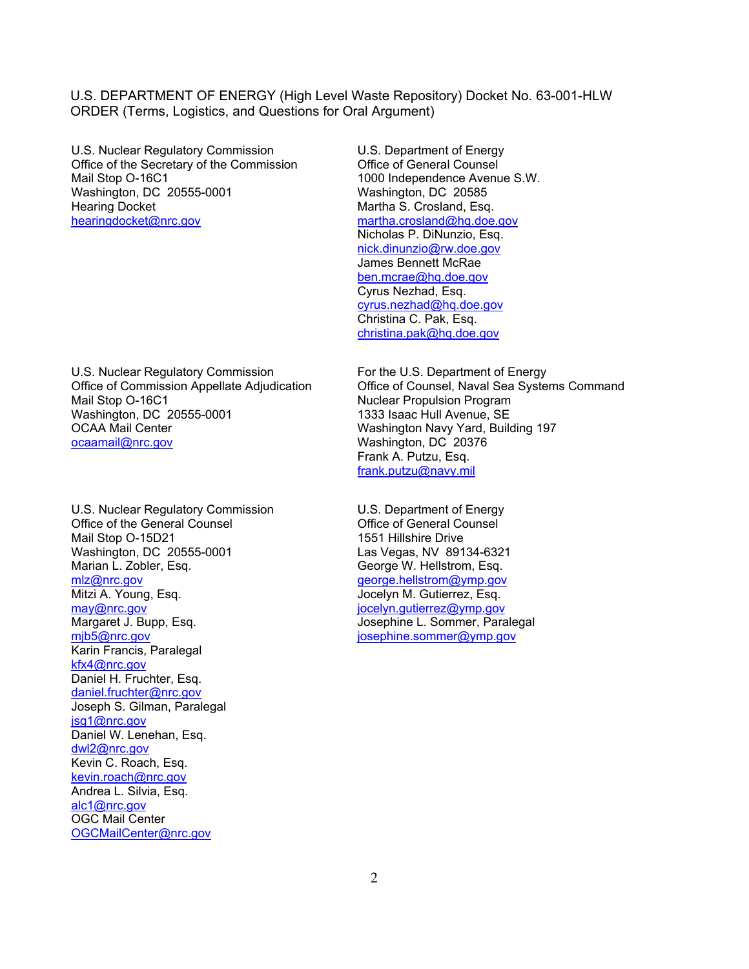U.S. Nuclear Regulatory Commission Office of the Secretary of the Commission Mail Stop O-16C1 Washington, DC 20555-0001 Hearing Docket hearingdocket@nrc.gov

U.S. Department of Energy Office of General Counsel 1000 Independence Avenue S.W. Washington, DC 20585 Martha S. Crosland, Esq. martha.crosland@hq.doe.gov Nicholas P. DiNunzio, Esq. nick.dinunzio@rw.doe.gov James Bennett McRae ben.mcrae@hq.doe.gov Cyrus Nezhad, Esq. cyrus.nezhad@hq.doe.gov Christina C. Pak, Esq. christina.pak@hq.doe.gov

U.S. Nuclear Regulatory Commission Office of Commission Appellate Adjudication Mail Stop O-16C1 Washington, DC 20555-0001 OCAA Mail Center ocaamail@nrc.gov

U.S. Nuclear Regulatory Commission Office of the General Counsel Mail Stop O-15D21 Washington, DC 20555-0001 Marian L. Zobler, Esq. mlz@nrc.gov Mitzi A. Young, Esq. may@nrc.gov Margaret J. Bupp, Esq. mjb5@nrc.gov Karin Francis, Paralegal kfx4@nrc.gov Daniel H. Fruchter, Esq. daniel.fruchter@nrc.gov Joseph S. Gilman, Paralegal jsg1@nrc.gov Daniel W. Lenehan, Esq. dwl2@nrc.gov Kevin C. Roach, Esq. kevin.roach@nrc.gov Andrea L. Silvia, Esq. alc1@nrc.gov OGC Mail Center OGCMailCenter@nrc.gov

For the U.S. Department of Energy Office of Counsel, Naval Sea Systems Command Nuclear Propulsion Program 1333 Isaac Hull Avenue, SE Washington Navy Yard, Building 197 Washington, DC 20376 Frank A. Putzu, Esq. frank.putzu@navy.mil

U.S. Department of Energy Office of General Counsel 1551 Hillshire Drive Las Vegas, NV 89134-6321 George W. Hellstrom, Esq. george.hellstrom@ymp.gov Jocelyn M. Gutierrez, Esq. jocelyn.gutierrez@ymp.gov Josephine L. Sommer, Paralegal josephine.sommer@ymp.gov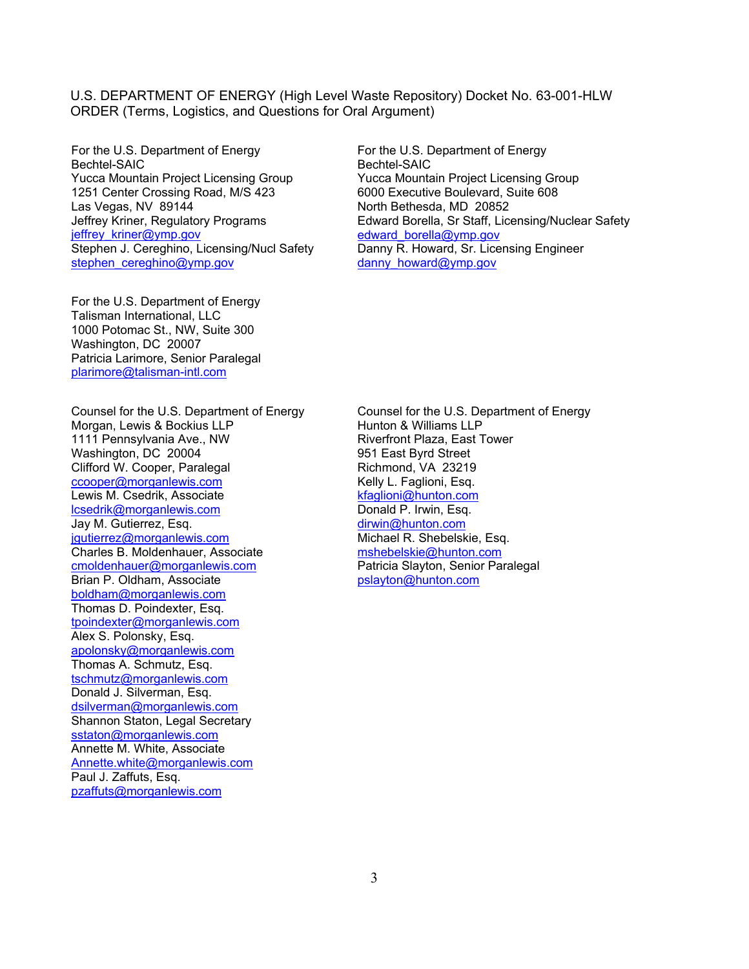For the U.S. Department of Energy Bechtel-SAIC Yucca Mountain Project Licensing Group 1251 Center Crossing Road, M/S 423 Las Vegas, NV 89144 Jeffrey Kriner, Regulatory Programs jeffrey\_kriner@ymp.gov Stephen J. Cereghino, Licensing/Nucl Safety stephen\_cereghino@ymp.gov

For the U.S. Department of Energy Talisman International, LLC 1000 Potomac St., NW, Suite 300 Washington, DC 20007 Patricia Larimore, Senior Paralegal plarimore@talisman-intl.com

Counsel for the U.S. Department of Energy Morgan, Lewis & Bockius LLP 1111 Pennsylvania Ave., NW Washington, DC 20004 Clifford W. Cooper, Paralegal ccooper@morganlewis.com Lewis M. Csedrik, Associate lcsedrik@morganlewis.com Jay M. Gutierrez, Esq. jgutierrez@morganlewis.com Charles B. Moldenhauer, Associate cmoldenhauer@morganlewis.com Brian P. Oldham, Associate boldham@morganlewis.com Thomas D. Poindexter, Esq. tpoindexter@morganlewis.com Alex S. Polonsky, Esq. apolonsky@morganlewis.com Thomas A. Schmutz, Esq. tschmutz@morganlewis.com Donald J. Silverman, Esq. dsilverman@morganlewis.com Shannon Staton, Legal Secretary sstaton@morganlewis.com Annette M. White, Associate Annette.white@morganlewis.com Paul J. Zaffuts, Esq. pzaffuts@morganlewis.com

For the U.S. Department of Energy Bechtel-SAIC Yucca Mountain Project Licensing Group 6000 Executive Boulevard, Suite 608 North Bethesda, MD 20852 Edward Borella, Sr Staff, Licensing/Nuclear Safety edward\_borella@ymp.gov Danny R. Howard, Sr. Licensing Engineer danny\_howard@ymp.gov

Counsel for the U.S. Department of Energy Hunton & Williams LLP Riverfront Plaza, East Tower 951 East Byrd Street Richmond, VA 23219 Kelly L. Faglioni, Esq. kfaglioni@hunton.com Donald P. Irwin, Esq. dirwin@hunton.com Michael R. Shebelskie, Esq. mshebelskie@hunton.com Patricia Slayton, Senior Paralegal pslayton@hunton.com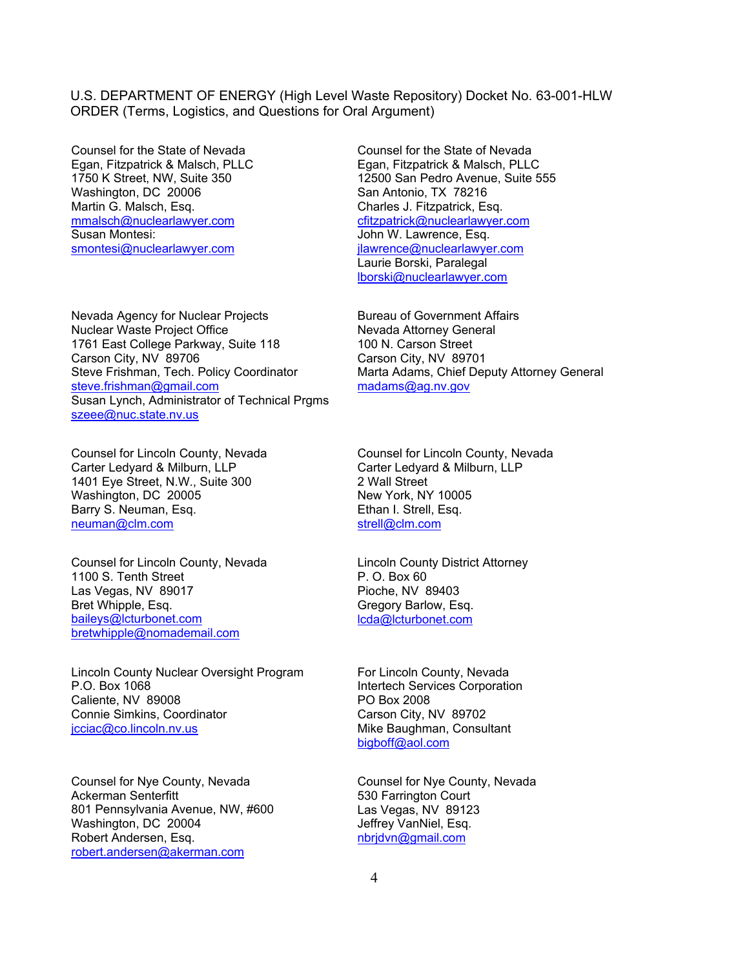Counsel for the State of Nevada Egan, Fitzpatrick & Malsch, PLLC 1750 K Street, NW, Suite 350 Washington, DC 20006 Martin G. Malsch, Esq. mmalsch@nuclearlawyer.com Susan Montesi: smontesi@nuclearlawyer.com

Nevada Agency for Nuclear Projects Nuclear Waste Project Office 1761 East College Parkway, Suite 118 Carson City, NV 89706 Steve Frishman, Tech. Policy Coordinator steve.frishman@gmail.com Susan Lynch, Administrator of Technical Prgms szeee@nuc.state.nv.us

Counsel for Lincoln County, Nevada Carter Ledyard & Milburn, LLP 1401 Eye Street, N.W., Suite 300 Washington, DC 20005 Barry S. Neuman, Esq. neuman@clm.com

Counsel for Lincoln County, Nevada 1100 S. Tenth Street Las Vegas, NV 89017 Bret Whipple, Esq. baileys@lcturbonet.com bretwhipple@nomademail.com

Lincoln County Nuclear Oversight Program P.O. Box 1068 Caliente, NV 89008 Connie Simkins, Coordinator jcciac@co.lincoln.nv.us

Counsel for Nye County, Nevada Ackerman Senterfitt 801 Pennsylvania Avenue, NW, #600 Washington, DC 20004 Robert Andersen, Esq. robert.andersen@akerman.com

Counsel for the State of Nevada Egan, Fitzpatrick & Malsch, PLLC 12500 San Pedro Avenue, Suite 555 San Antonio, TX 78216 Charles J. Fitzpatrick, Esq. cfitzpatrick@nuclearlawyer.com John W. Lawrence, Esq. jlawrence@nuclearlawyer.com Laurie Borski, Paralegal lborski@nuclearlawyer.com

Bureau of Government Affairs Nevada Attorney General 100 N. Carson Street Carson City, NV 89701 Marta Adams, Chief Deputy Attorney General madams@ag.nv.gov

Counsel for Lincoln County, Nevada Carter Ledyard & Milburn, LLP 2 Wall Street New York, NY 10005 Ethan I. Strell, Esq. strell@clm.com

Lincoln County District Attorney P. O. Box 60 Pioche, NV 89403 Gregory Barlow, Esq. lcda@lcturbonet.com

For Lincoln County, Nevada Intertech Services Corporation PO Box 2008 Carson City, NV 89702 Mike Baughman, Consultant bigboff@aol.com

Counsel for Nye County, Nevada 530 Farrington Court Las Vegas, NV 89123 Jeffrey VanNiel, Esq. nbrjdvn@gmail.com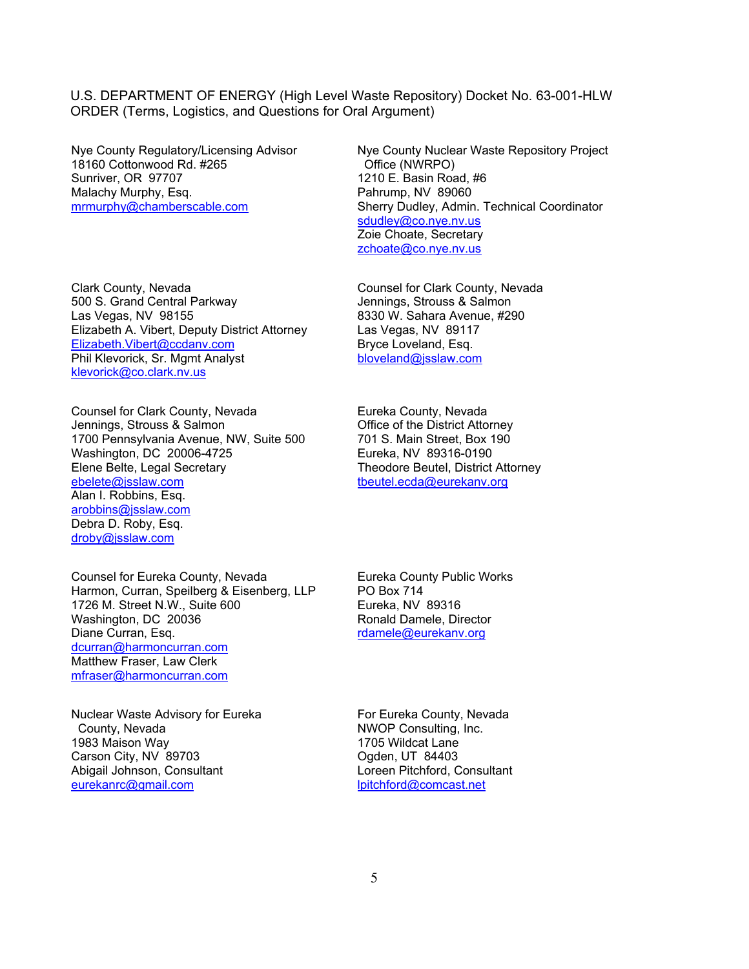Nye County Regulatory/Licensing Advisor 18160 Cottonwood Rd. #265 Sunriver, OR 97707 Malachy Murphy, Esq. mrmurphy@chamberscable.com

Clark County, Nevada 500 S. Grand Central Parkway Las Vegas, NV 98155 Elizabeth A. Vibert, Deputy District Attorney Elizabeth.Vibert@ccdanv.com Phil Klevorick, Sr. Mgmt Analyst klevorick@co.clark.nv.us

Counsel for Clark County, Nevada Jennings, Strouss & Salmon 1700 Pennsylvania Avenue, NW, Suite 500 Washington, DC 20006-4725 Elene Belte, Legal Secretary ebelete@jsslaw.com Alan I. Robbins, Esq. arobbins@jsslaw.com Debra D. Roby, Esq. droby@jsslaw.com

Counsel for Eureka County, Nevada Harmon, Curran, Speilberg & Eisenberg, LLP 1726 M. Street N.W., Suite 600 Washington, DC 20036 Diane Curran, Esq. dcurran@harmoncurran.com Matthew Fraser, Law Clerk mfraser@harmoncurran.com

Nuclear Waste Advisory for Eureka County, Nevada 1983 Maison Way Carson City, NV 89703 Abigail Johnson, Consultant eurekanrc@gmail.com

Nye County Nuclear Waste Repository Project Office (NWRPO) 1210 E. Basin Road, #6 Pahrump, NV 89060 Sherry Dudley, Admin. Technical Coordinator sdudley@co.nye.nv.us Zoie Choate, Secretary zchoate@co.nye.nv.us

Counsel for Clark County, Nevada Jennings, Strouss & Salmon 8330 W. Sahara Avenue, #290 Las Vegas, NV 89117 Bryce Loveland, Esq. bloveland@jsslaw.com

Eureka County, Nevada Office of the District Attorney 701 S. Main Street, Box 190 Eureka, NV 89316-0190 Theodore Beutel, District Attorney tbeutel.ecda@eurekanv.org

Eureka County Public Works PO Box 714 Eureka, NV 89316 Ronald Damele, Director rdamele@eurekanv.org

For Eureka County, Nevada NWOP Consulting, Inc. 1705 Wildcat Lane Ogden, UT 84403 Loreen Pitchford, Consultant lpitchford@comcast.net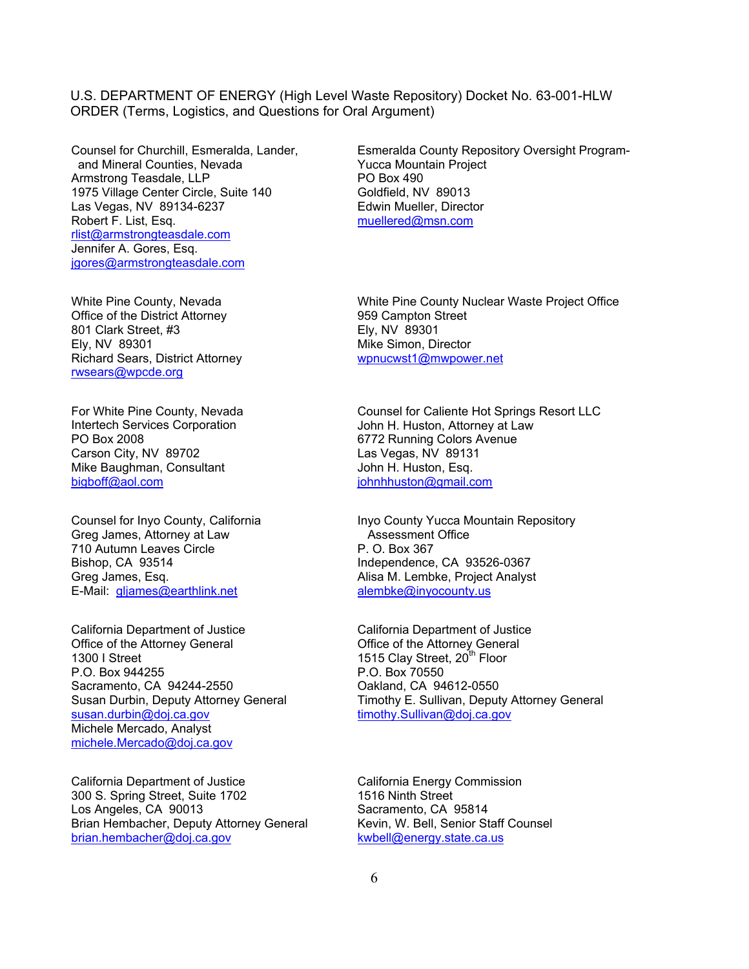Counsel for Churchill, Esmeralda, Lander, and Mineral Counties, Nevada Armstrong Teasdale, LLP 1975 Village Center Circle, Suite 140 Las Vegas, NV 89134-6237 Robert F. List, Esq. rlist@armstrongteasdale.com Jennifer A. Gores, Esq. jgores@armstrongteasdale.com

White Pine County, Nevada Office of the District Attorney 801 Clark Street, #3 Ely, NV 89301 Richard Sears, District Attorney rwsears@wpcde.org

For White Pine County, Nevada Intertech Services Corporation PO Box 2008 Carson City, NV 89702 Mike Baughman, Consultant bigboff@aol.com

Counsel for Inyo County, California Greg James, Attorney at Law 710 Autumn Leaves Circle Bishop, CA 93514 Greg James, Esq. E-Mail: gljames@earthlink.net

California Department of Justice Office of the Attorney General 1300 I Street P.O. Box 944255 Sacramento, CA 94244-2550 Susan Durbin, Deputy Attorney General susan.durbin@doj.ca.gov Michele Mercado, Analyst michele.Mercado@doj.ca.gov

California Department of Justice 300 S. Spring Street, Suite 1702 Los Angeles, CA 90013 Brian Hembacher, Deputy Attorney General brian.hembacher@doj.ca.gov

Esmeralda County Repository Oversight Program-Yucca Mountain Project PO Box 490 Goldfield, NV 89013 Edwin Mueller, Director muellered@msn.com

White Pine County Nuclear Waste Project Office 959 Campton Street Ely, NV 89301 Mike Simon, Director wpnucwst1@mwpower.net

Counsel for Caliente Hot Springs Resort LLC John H. Huston, Attorney at Law 6772 Running Colors Avenue Las Vegas, NV 89131 John H. Huston, Esq. johnhhuston@gmail.com

Inyo County Yucca Mountain Repository Assessment Office P. O. Box 367 Independence, CA 93526-0367 Alisa M. Lembke, Project Analyst alembke@inyocounty.us

California Department of Justice Office of the Attorney General 1515 Clay Street, 20<sup>th</sup> Floor P.O. Box 70550 Oakland, CA 94612-0550 Timothy E. Sullivan, Deputy Attorney General timothy.Sullivan@doj.ca.gov

California Energy Commission 1516 Ninth Street Sacramento, CA 95814 Kevin, W. Bell, Senior Staff Counsel kwbell@energy.state.ca.us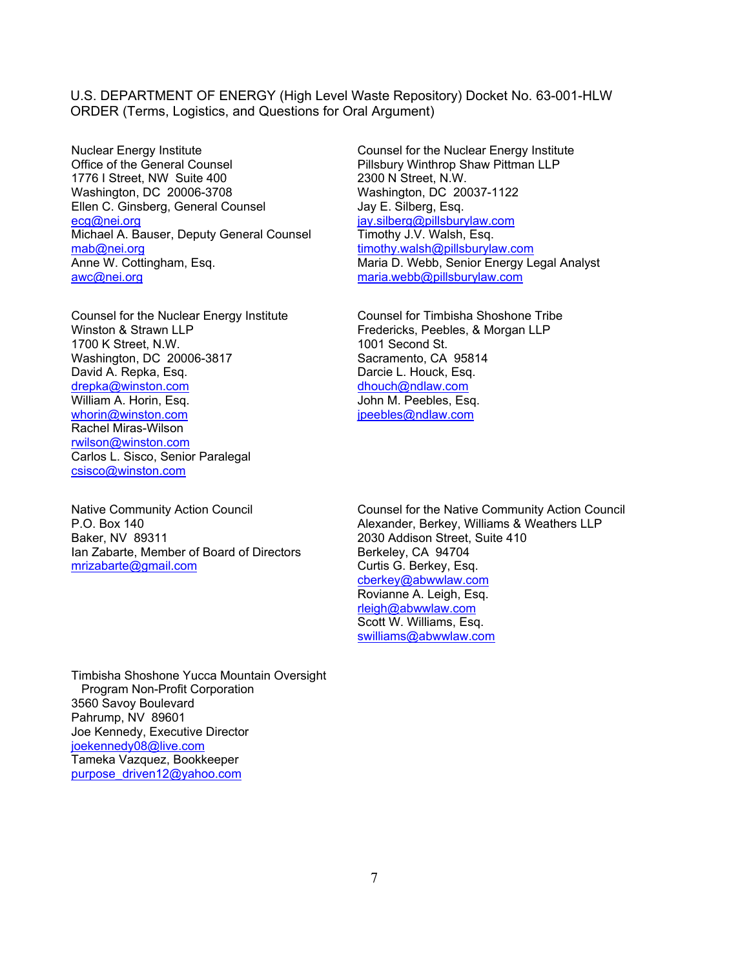Nuclear Energy Institute Office of the General Counsel 1776 I Street, NW Suite 400 Washington, DC 20006-3708 Ellen C. Ginsberg, General Counsel ecg@nei.org Michael A. Bauser, Deputy General Counsel mab@nei.org Anne W. Cottingham, Esq. awc@nei.org

Counsel for the Nuclear Energy Institute Winston & Strawn LLP 1700 K Street, N.W. Washington, DC 20006-3817 David A. Repka, Esq. drepka@winston.com William A. Horin, Esg. whorin@winston.com Rachel Miras-Wilson rwilson@winston.com Carlos L. Sisco, Senior Paralegal csisco@winston.com

Native Community Action Council P.O. Box 140 Baker, NV 89311 Ian Zabarte, Member of Board of Directors mrizabarte@gmail.com

Counsel for the Nuclear Energy Institute Pillsbury Winthrop Shaw Pittman LLP 2300 N Street, N.W. Washington, DC 20037-1122 Jay E. Silberg, Esq. jay.silberg@pillsburylaw.com Timothy J.V. Walsh, Esq. timothy.walsh@pillsburylaw.com Maria D. Webb, Senior Energy Legal Analyst maria.webb@pillsburylaw.com

Counsel for Timbisha Shoshone Tribe Fredericks, Peebles, & Morgan LLP 1001 Second St. Sacramento, CA 95814 Darcie L. Houck, Esq. dhouch@ndlaw.com John M. Peebles, Esq. jpeebles@ndlaw.com

Counsel for the Native Community Action Council Alexander, Berkey, Williams & Weathers LLP 2030 Addison Street, Suite 410 Berkeley, CA 94704 Curtis G. Berkey, Esq. cberkey@abwwlaw.com Rovianne A. Leigh, Esq. rleigh@abwwlaw.com Scott W. Williams, Esq. swilliams@abwwlaw.com

Timbisha Shoshone Yucca Mountain Oversight Program Non-Profit Corporation 3560 Savoy Boulevard Pahrump, NV 89601 Joe Kennedy, Executive Director joekennedy08@live.com Tameka Vazquez, Bookkeeper purpose\_driven12@yahoo.com